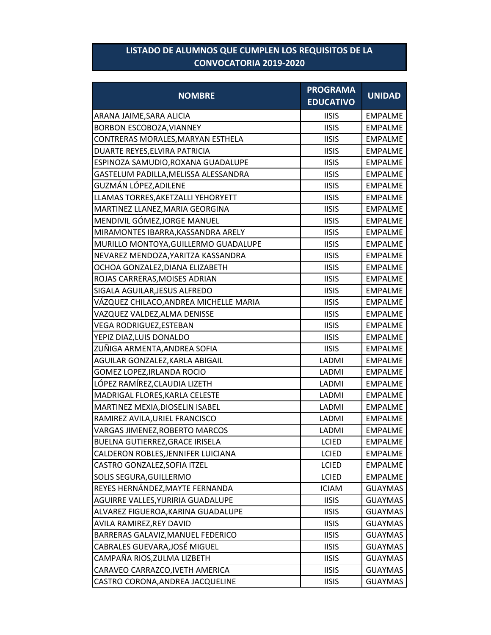## **LISTADO DE ALUMNOS QUE CUMPLEN LOS REQUISITOS DE LA CONVOCATORIA 2019-2020**

| <b>NOMBRE</b>                         | <b>PROGRAMA</b><br><b>EDUCATIVO</b> | <b>UNIDAD</b>  |
|---------------------------------------|-------------------------------------|----------------|
| ARANA JAIME, SARA ALICIA              | <b>IISIS</b>                        | <b>EMPALME</b> |
| BORBON ESCOBOZA, VIANNEY              | <b>IISIS</b>                        | <b>EMPALME</b> |
| CONTRERAS MORALES, MARYAN ESTHELA     | <b>IISIS</b>                        | <b>EMPALME</b> |
| DUARTE REYES, ELVIRA PATRICIA         | <b>IISIS</b>                        | <b>EMPALME</b> |
| ESPINOZA SAMUDIO, ROXANA GUADALUPE    | <b>IISIS</b>                        | <b>EMPALME</b> |
| GASTELUM PADILLA, MELISSA ALESSANDRA  | <b>IISIS</b>                        | <b>EMPALME</b> |
| GUZMÁN LÓPEZ,ADILENE                  | <b>IISIS</b>                        | <b>EMPALME</b> |
| LLAMAS TORRES, AKETZALLI YEHORYETT    | <b>IISIS</b>                        | <b>EMPALME</b> |
| MARTINEZ LLANEZ, MARIA GEORGINA       | <b>IISIS</b>                        | <b>EMPALME</b> |
| MENDIVIL GÓMEZ, JORGE MANUEL          | <b>IISIS</b>                        | <b>EMPALME</b> |
| MIRAMONTES IBARRA, KASSANDRA ARELY    | <b>IISIS</b>                        | <b>EMPALME</b> |
| MURILLO MONTOYA, GUILLERMO GUADALUPE  | <b>IISIS</b>                        | <b>EMPALME</b> |
| NEVAREZ MENDOZA, YARITZA KASSANDRA    | <b>IISIS</b>                        | <b>EMPALME</b> |
| OCHOA GONZALEZ, DIANA ELIZABETH       | <b>IISIS</b>                        | <b>EMPALME</b> |
| ROJAS CARRERAS, MOISES ADRIAN         | <b>IISIS</b>                        | <b>EMPALME</b> |
| SIGALA AGUILAR, JESUS ALFREDO         | <b>IISIS</b>                        | <b>EMPALME</b> |
| VÁZQUEZ CHILACO,ANDREA MICHELLE MARIA | <b>IISIS</b>                        | <b>EMPALME</b> |
| VAZQUEZ VALDEZ, ALMA DENISSE          | <b>IISIS</b>                        | <b>EMPALME</b> |
| VEGA RODRIGUEZ,ESTEBAN                | <b>IISIS</b>                        | <b>EMPALME</b> |
| YEPIZ DIAZ,LUIS DONALDO               | <b>IISIS</b>                        | <b>EMPALME</b> |
| ZUÑIGA ARMENTA, ANDREA SOFIA          | <b>IISIS</b>                        | <b>EMPALME</b> |
| AGUILAR GONZALEZ, KARLA ABIGAIL       | LADMI                               | <b>EMPALME</b> |
| GOMEZ LOPEZ, IRLANDA ROCIO            | LADMI                               | <b>EMPALME</b> |
| LÓPEZ RAMÍREZ, CLAUDIA LIZETH         | LADMI                               | <b>EMPALME</b> |
| MADRIGAL FLORES, KARLA CELESTE        | LADMI                               | <b>EMPALME</b> |
| MARTINEZ MEXIA, DIOSELIN ISABEL       | LADMI                               | <b>EMPALME</b> |
| RAMIREZ AVILA, URIEL FRANCISCO        | LADMI                               | <b>EMPALME</b> |
| VARGAS JIMENEZ, ROBERTO MARCOS        | LADMI                               | <b>EMPALME</b> |
| BUELNA GUTIERREZ, GRACE IRISELA       | <b>LCIED</b>                        | EMPALME        |
| CALDERON ROBLES, JENNIFER LUICIANA    | <b>LCIED</b>                        | <b>EMPALME</b> |
| CASTRO GONZALEZ, SOFIA ITZEL          | <b>LCIED</b>                        | <b>EMPALME</b> |
| SOLIS SEGURA, GUILLERMO               | <b>LCIED</b>                        | <b>EMPALME</b> |
| REYES HERNÁNDEZ, MAYTE FERNANDA       | <b>ICIAM</b>                        | <b>GUAYMAS</b> |
| AGUIRRE VALLES, YURIRIA GUADALUPE     | <b>IISIS</b>                        | <b>GUAYMAS</b> |
| ALVAREZ FIGUEROA, KARINA GUADALUPE    | <b>IISIS</b>                        | <b>GUAYMAS</b> |
| AVILA RAMIREZ, REY DAVID              | <b>IISIS</b>                        | <b>GUAYMAS</b> |
| BARRERAS GALAVIZ, MANUEL FEDERICO     | <b>IISIS</b>                        | <b>GUAYMAS</b> |
| CABRALES GUEVARA, JOSÉ MIGUEL         | <b>IISIS</b>                        | <b>GUAYMAS</b> |
| CAMPAÑA RIOS,ZULMA LIZBETH            | <b>IISIS</b>                        | <b>GUAYMAS</b> |
| CARAVEO CARRAZCO, IVETH AMERICA       | <b>IISIS</b>                        | <b>GUAYMAS</b> |
| CASTRO CORONA, ANDREA JACQUELINE      | <b>IISIS</b>                        | <b>GUAYMAS</b> |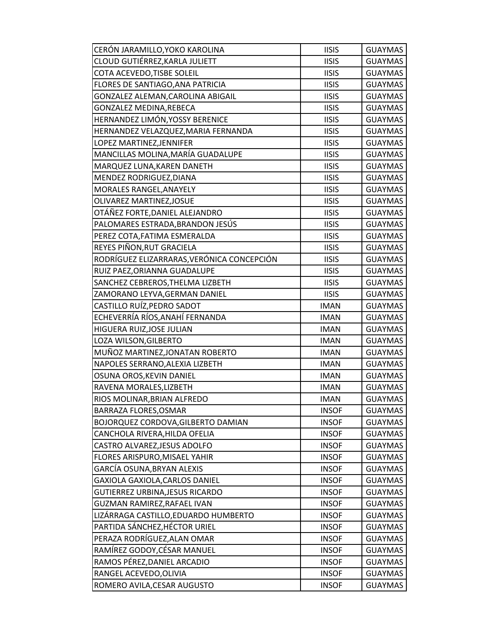| CERÓN JARAMILLO, YOKO KAROLINA             | <b>IISIS</b> | <b>GUAYMAS</b> |
|--------------------------------------------|--------------|----------------|
| CLOUD GUTIÉRREZ, KARLA JULIETT             | <b>IISIS</b> | <b>GUAYMAS</b> |
| COTA ACEVEDO, TISBE SOLEIL                 | <b>IISIS</b> | <b>GUAYMAS</b> |
| FLORES DE SANTIAGO, ANA PATRICIA           | <b>IISIS</b> | <b>GUAYMAS</b> |
| GONZALEZ ALEMAN, CAROLINA ABIGAIL          | <b>IISIS</b> | <b>GUAYMAS</b> |
| GONZALEZ MEDINA, REBECA                    | <b>IISIS</b> | <b>GUAYMAS</b> |
| HERNANDEZ LIMÓN, YOSSY BERENICE            | <b>IISIS</b> | <b>GUAYMAS</b> |
| HERNANDEZ VELAZQUEZ, MARIA FERNANDA        | <b>IISIS</b> | <b>GUAYMAS</b> |
| LOPEZ MARTINEZ, JENNIFER                   | <b>IISIS</b> | <b>GUAYMAS</b> |
| MANCILLAS MOLINA, MARÍA GUADALUPE          | <b>IISIS</b> | <b>GUAYMAS</b> |
| MARQUEZ LUNA, KAREN DANETH                 | <b>IISIS</b> | <b>GUAYMAS</b> |
| MENDEZ RODRIGUEZ, DIANA                    | <b>IISIS</b> | <b>GUAYMAS</b> |
| MORALES RANGEL, ANAYELY                    | <b>IISIS</b> | <b>GUAYMAS</b> |
| OLIVAREZ MARTINEZ, JOSUE                   | <b>IISIS</b> | <b>GUAYMAS</b> |
| OTÁÑEZ FORTE, DANIEL ALEJANDRO             | <b>IISIS</b> | <b>GUAYMAS</b> |
| PALOMARES ESTRADA, BRANDON JESÚS           | <b>IISIS</b> | <b>GUAYMAS</b> |
| PEREZ COTA, FATIMA ESMERALDA               | <b>IISIS</b> | <b>GUAYMAS</b> |
| REYES PIÑON, RUT GRACIELA                  | <b>IISIS</b> | <b>GUAYMAS</b> |
| RODRÍGUEZ ELIZARRARAS, VERÓNICA CONCEPCIÓN | <b>IISIS</b> | <b>GUAYMAS</b> |
| RUIZ PAEZ, ORIANNA GUADALUPE               | <b>IISIS</b> | <b>GUAYMAS</b> |
| SANCHEZ CEBREROS, THELMA LIZBETH           | <b>IISIS</b> | <b>GUAYMAS</b> |
| ZAMORANO LEYVA, GERMAN DANIEL              | <b>IISIS</b> | <b>GUAYMAS</b> |
| CASTILLO RUÍZ, PEDRO SADOT                 | <b>IMAN</b>  | <b>GUAYMAS</b> |
| ECHEVERRÍA RÍOS, ANAHÍ FERNANDA            | <b>IMAN</b>  | <b>GUAYMAS</b> |
| HIGUERA RUIZ, JOSE JULIAN                  | <b>IMAN</b>  | <b>GUAYMAS</b> |
| LOZA WILSON, GILBERTO                      | <b>IMAN</b>  | <b>GUAYMAS</b> |
| MUÑOZ MARTINEZ, JONATAN ROBERTO            | <b>IMAN</b>  | <b>GUAYMAS</b> |
| NAPOLES SERRANO, ALEXIA LIZBETH            | <b>IMAN</b>  | <b>GUAYMAS</b> |
| OSUNA OROS, KEVIN DANIEL                   | <b>IMAN</b>  | <b>GUAYMAS</b> |
| RAVENA MORALES, LIZBETH                    | <b>IMAN</b>  | <b>GUAYMAS</b> |
| RIOS MOLINAR, BRIAN ALFREDO                | <b>IMAN</b>  | <b>GUAYMAS</b> |
| BARRAZA FLORES, OSMAR                      | <b>INSOF</b> | <b>GUAYMAS</b> |
| BOJORQUEZ CORDOVA, GILBERTO DAMIAN         | <b>INSOF</b> | <b>GUAYMAS</b> |
| CANCHOLA RIVERA, HILDA OFELIA              | <b>INSOF</b> | <b>GUAYMAS</b> |
| CASTRO ALVAREZ, JESUS ADOLFO               | <b>INSOF</b> | <b>GUAYMAS</b> |
| FLORES ARISPURO, MISAEL YAHIR              | <b>INSOF</b> | <b>GUAYMAS</b> |
| GARCÍA OSUNA, BRYAN ALEXIS                 | <b>INSOF</b> | <b>GUAYMAS</b> |
| GAXIOLA GAXIOLA, CARLOS DANIEL             | <b>INSOF</b> | <b>GUAYMAS</b> |
| GUTIERREZ URBINA, JESUS RICARDO            | <b>INSOF</b> | <b>GUAYMAS</b> |
| GUZMAN RAMIREZ, RAFAEL IVAN                | <b>INSOF</b> | <b>GUAYMAS</b> |
| LIZÁRRAGA CASTILLO, EDUARDO HUMBERTO       | <b>INSOF</b> | <b>GUAYMAS</b> |
| PARTIDA SÁNCHEZ, HÉCTOR URIEL              | <b>INSOF</b> | <b>GUAYMAS</b> |
| PERAZA RODRÍGUEZ, ALAN OMAR                | <b>INSOF</b> | <b>GUAYMAS</b> |
| RAMÍREZ GODOY, CÉSAR MANUEL                | <b>INSOF</b> | <b>GUAYMAS</b> |
| RAMOS PÉREZ, DANIEL ARCADIO                | <b>INSOF</b> | <b>GUAYMAS</b> |
| RANGEL ACEVEDO, OLIVIA                     | <b>INSOF</b> | <b>GUAYMAS</b> |
| ROMERO AVILA, CESAR AUGUSTO                | <b>INSOF</b> | <b>GUAYMAS</b> |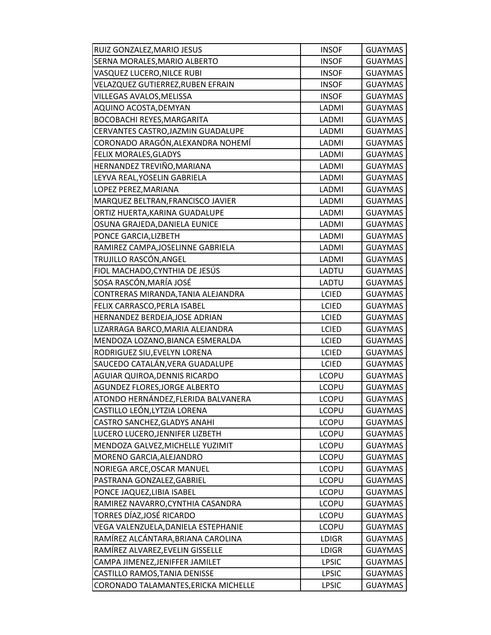| RUIZ GONZALEZ, MARIO JESUS           | <b>INSOF</b> | <b>GUAYMAS</b> |
|--------------------------------------|--------------|----------------|
| SERNA MORALES, MARIO ALBERTO         | <b>INSOF</b> | <b>GUAYMAS</b> |
| VASQUEZ LUCERO, NILCE RUBI           | <b>INSOF</b> | <b>GUAYMAS</b> |
| VELAZQUEZ GUTIERREZ, RUBEN EFRAIN    | <b>INSOF</b> | <b>GUAYMAS</b> |
| VILLEGAS AVALOS, MELISSA             | <b>INSOF</b> | <b>GUAYMAS</b> |
| AQUINO ACOSTA, DEMYAN                | LADMI        | <b>GUAYMAS</b> |
| <b>BOCOBACHI REYES, MARGARITA</b>    | LADMI        | <b>GUAYMAS</b> |
| CERVANTES CASTRO, JAZMIN GUADALUPE   | LADMI        | <b>GUAYMAS</b> |
| CORONADO ARAGÓN,ALEXANDRA NOHEMÍ     | LADMI        | <b>GUAYMAS</b> |
| FELIX MORALES, GLADYS                | LADMI        | <b>GUAYMAS</b> |
| HERNANDEZ TREVIÑO, MARIANA           | LADMI        | <b>GUAYMAS</b> |
| LEYVA REAL, YOSELIN GABRIELA         | LADMI        | <b>GUAYMAS</b> |
| LOPEZ PEREZ, MARIANA                 | LADMI        | <b>GUAYMAS</b> |
| MARQUEZ BELTRAN, FRANCISCO JAVIER    | LADMI        | <b>GUAYMAS</b> |
| ORTIZ HUERTA, KARINA GUADALUPE       | LADMI        | <b>GUAYMAS</b> |
| OSUNA GRAJEDA, DANIELA EUNICE        | LADMI        | <b>GUAYMAS</b> |
| PONCE GARCIA, LIZBETH                | LADMI        | <b>GUAYMAS</b> |
| RAMIREZ CAMPA, JOSELINNE GABRIELA    | LADMI        | <b>GUAYMAS</b> |
| TRUJILLO RASCÓN, ANGEL               | LADMI        | <b>GUAYMAS</b> |
| FIOL MACHADO, CYNTHIA DE JESÚS       | LADTU        | <b>GUAYMAS</b> |
| SOSA RASCÓN, MARÍA JOSÉ              | LADTU        | <b>GUAYMAS</b> |
| CONTRERAS MIRANDA, TANIA ALEJANDRA   | <b>LCIED</b> | <b>GUAYMAS</b> |
| FELIX CARRASCO, PERLA ISABEL         | <b>LCIED</b> | <b>GUAYMAS</b> |
| HERNANDEZ BERDEJA, JOSE ADRIAN       | <b>LCIED</b> | <b>GUAYMAS</b> |
| LIZARRAGA BARCO, MARIA ALEJANDRA     | <b>LCIED</b> | <b>GUAYMAS</b> |
| MENDOZA LOZANO, BIANCA ESMERALDA     | <b>LCIED</b> | <b>GUAYMAS</b> |
| RODRIGUEZ SIU, EVELYN LORENA         | <b>LCIED</b> | <b>GUAYMAS</b> |
| SAUCEDO CATALÁN, VERA GUADALUPE      | <b>LCIED</b> | <b>GUAYMAS</b> |
| AGUIAR QUIROA, DENNIS RICARDO        | <b>LCOPU</b> | <b>GUAYMAS</b> |
| AGUNDEZ FLORES, JORGE ALBERTO        | <b>LCOPU</b> | <b>GUAYMAS</b> |
| ATONDO HERNÁNDEZ, FLERIDA BALVANERA  | <b>LCOPU</b> | <b>GUAYMAS</b> |
| CASTILLO LEÓN, LYTZIA LORENA         | <b>LCOPU</b> | <b>GUAYMAS</b> |
| CASTRO SANCHEZ, GLADYS ANAHI         | <b>LCOPU</b> | <b>GUAYMAS</b> |
| LUCERO LUCERO, JENNIFER LIZBETH      | <b>LCOPU</b> | <b>GUAYMAS</b> |
| MENDOZA GALVEZ, MICHELLE YUZIMIT     | <b>LCOPU</b> | <b>GUAYMAS</b> |
| MORENO GARCIA, ALEJANDRO             | <b>LCOPU</b> | <b>GUAYMAS</b> |
| NORIEGA ARCE, OSCAR MANUEL           | <b>LCOPU</b> | <b>GUAYMAS</b> |
| PASTRANA GONZALEZ, GABRIEL           | <b>LCOPU</b> | <b>GUAYMAS</b> |
| PONCE JAQUEZ, LIBIA ISABEL           | <b>LCOPU</b> | <b>GUAYMAS</b> |
| RAMIREZ NAVARRO, CYNTHIA CASANDRA    | <b>LCOPU</b> | <b>GUAYMAS</b> |
| TORRES DÍAZ,JOSÉ RICARDO             | <b>LCOPU</b> | <b>GUAYMAS</b> |
| VEGA VALENZUELA, DANIELA ESTEPHANIE  | <b>LCOPU</b> | <b>GUAYMAS</b> |
| RAMÍREZ ALCÁNTARA, BRIANA CAROLINA   | <b>LDIGR</b> | <b>GUAYMAS</b> |
| RAMÍREZ ALVAREZ, EVELIN GISSELLE     | <b>LDIGR</b> | <b>GUAYMAS</b> |
| CAMPA JIMENEZ, JENIFFER JAMILET      | <b>LPSIC</b> | <b>GUAYMAS</b> |
| CASTILLO RAMOS, TANIA DENISSE        | <b>LPSIC</b> | <b>GUAYMAS</b> |
| CORONADO TALAMANTES, ERICKA MICHELLE | <b>LPSIC</b> | <b>GUAYMAS</b> |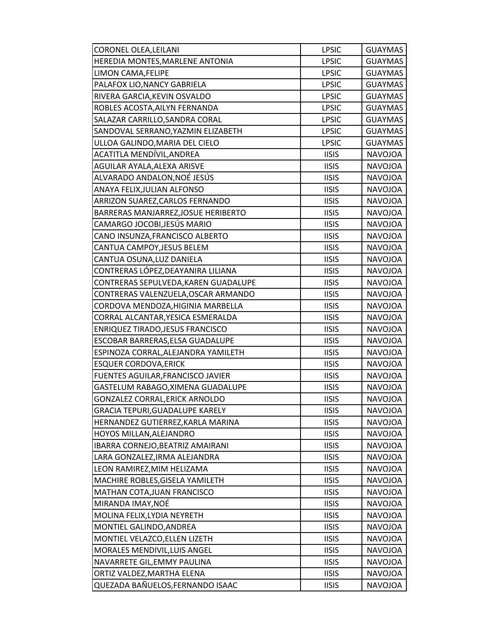| CORONEL OLEA, LEILANI                  | <b>LPSIC</b> | <b>GUAYMAS</b> |
|----------------------------------------|--------------|----------------|
| HEREDIA MONTES, MARLENE ANTONIA        | <b>LPSIC</b> | <b>GUAYMAS</b> |
| LIMON CAMA, FELIPE                     | <b>LPSIC</b> | <b>GUAYMAS</b> |
| PALAFOX LIO, NANCY GABRIELA            | <b>LPSIC</b> | <b>GUAYMAS</b> |
| RIVERA GARCIA, KEVIN OSVALDO           | <b>LPSIC</b> | <b>GUAYMAS</b> |
| ROBLES ACOSTA, AILYN FERNANDA          | <b>LPSIC</b> | <b>GUAYMAS</b> |
| SALAZAR CARRILLO, SANDRA CORAL         | <b>LPSIC</b> | <b>GUAYMAS</b> |
| SANDOVAL SERRANO, YAZMIN ELIZABETH     | <b>LPSIC</b> | <b>GUAYMAS</b> |
| ULLOA GALINDO, MARIA DEL CIELO         | <b>LPSIC</b> | <b>GUAYMAS</b> |
| ACATITLA MENDÍVIL, ANDREA              | <b>IISIS</b> | <b>NAVOJOA</b> |
| AGUILAR AYALA, ALEXA ARISVE            | <b>IISIS</b> | NAVOJOA        |
| ALVARADO ANDALON, NOÉ JESÚS            | <b>IISIS</b> | <b>NAVOJOA</b> |
| ANAYA FELIX, JULIAN ALFONSO            | <b>IISIS</b> | <b>NAVOJOA</b> |
| ARRIZON SUAREZ, CARLOS FERNANDO        | <b>IISIS</b> | <b>NAVOJOA</b> |
| BARRERAS MANJARREZ, JOSUE HERIBERTO    | <b>IISIS</b> | <b>NAVOJOA</b> |
| CAMARGO JOCOBI, JESÚS MARIO            | <b>IISIS</b> | NAVOJOA        |
| CANO INSUNZA, FRANCISCO ALBERTO        | <b>IISIS</b> | NAVOJOA        |
| CANTUA CAMPOY, JESUS BELEM             | <b>IISIS</b> | <b>NAVOJOA</b> |
| CANTUA OSUNA, LUZ DANIELA              | <b>IISIS</b> | <b>NAVOJOA</b> |
| CONTRERAS LÓPEZ, DEAYANIRA LILIANA     | <b>IISIS</b> | <b>NAVOJOA</b> |
| CONTRERAS SEPULVEDA, KAREN GUADALUPE   | <b>IISIS</b> | <b>NAVOJOA</b> |
| CONTRERAS VALENZUELA, OSCAR ARMANDO    | <b>IISIS</b> | NAVOJOA        |
| CORDOVA MENDOZA, HIGINIA MARBELLA      | <b>IISIS</b> | <b>NAVOJOA</b> |
| CORRAL ALCANTAR, YESICA ESMERALDA      | <b>IISIS</b> | <b>NAVOJOA</b> |
| ENRIQUEZ TIRADO, JESUS FRANCISCO       | <b>IISIS</b> | <b>NAVOJOA</b> |
| ESCOBAR BARRERAS, ELSA GUADALUPE       | <b>IISIS</b> | <b>NAVOJOA</b> |
| ESPINOZA CORRAL, ALEJANDRA YAMILETH    | <b>IISIS</b> | <b>NAVOJOA</b> |
| <b>ESQUER CORDOVA, ERICK</b>           | <b>IISIS</b> | NAVOJOA        |
| FUENTES AGUILAR, FRANCISCO JAVIER      | <b>IISIS</b> | <b>NAVOJOA</b> |
| GASTELUM RABAGO, XIMENA GUADALUPE      | <b>IISIS</b> | NAVOJOA        |
| <b>GONZALEZ CORRAL, ERICK ARNOLDO</b>  | <b>IISIS</b> | <b>NAVOJOA</b> |
| <b>GRACIA TEPURI, GUADALUPE KARELY</b> | <b>IISIS</b> | <b>NAVOJOA</b> |
| HERNANDEZ GUTIERREZ, KARLA MARINA      | <b>IISIS</b> | NAVOJOA        |
| HOYOS MILLAN, ALEJANDRO                | <b>IISIS</b> | <b>NAVOJOA</b> |
| IBARRA CORNEJO, BEATRIZ AMAIRANI       | <b>IISIS</b> | NAVOJOA        |
| LARA GONZALEZ, IRMA ALEJANDRA          | <b>IISIS</b> | <b>NAVOJOA</b> |
| LEON RAMIREZ, MIM HELIZAMA             | <b>IISIS</b> | NAVOJOA        |
| MACHIRE ROBLES, GISELA YAMILETH        | <b>IISIS</b> | <b>NAVOJOA</b> |
| MATHAN COTA, JUAN FRANCISCO            | <b>IISIS</b> | NAVOJOA        |
| MIRANDA IMAY, NOÉ                      | <b>IISIS</b> | NAVOJOA        |
| MOLINA FELIX, LYDIA NEYRETH            | <b>IISIS</b> | NAVOJOA        |
| MONTIEL GALINDO, ANDREA                | <b>IISIS</b> | NAVOJOA        |
| MONTIEL VELAZCO, ELLEN LIZETH          | <b>IISIS</b> | NAVOJOA        |
| MORALES MENDIVIL, LUIS ANGEL           | <b>IISIS</b> | NAVOJOA        |
| NAVARRETE GIL, EMMY PAULINA            | <b>IISIS</b> | <b>NAVOJOA</b> |
| ORTIZ VALDEZ, MARTHA ELENA             | <b>IISIS</b> | NAVOJOA        |
| QUEZADA BAÑUELOS, FERNANDO ISAAC       | <b>IISIS</b> | <b>NAVOJOA</b> |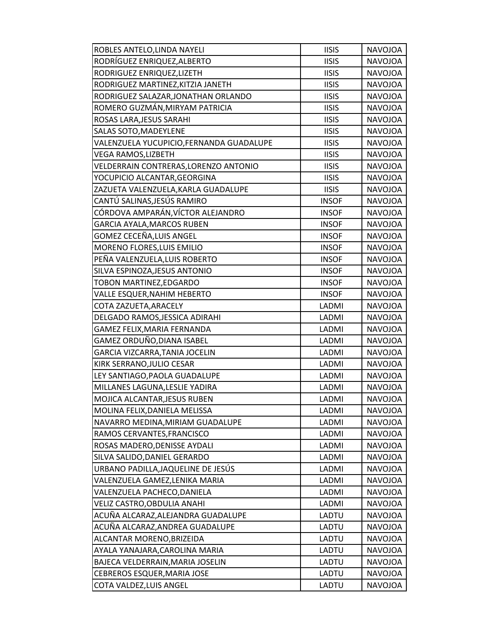| ROBLES ANTELO, LINDA NAYELI              | <b>IISIS</b> | <b>NAVOJOA</b> |
|------------------------------------------|--------------|----------------|
| RODRÍGUEZ ENRIQUEZ, ALBERTO              | <b>IISIS</b> | <b>NAVOJOA</b> |
| RODRIGUEZ ENRIQUEZ, LIZETH               | <b>IISIS</b> | <b>NAVOJOA</b> |
| RODRIGUEZ MARTINEZ, KITZIA JANETH        | <b>IISIS</b> | <b>NAVOJOA</b> |
| RODRIGUEZ SALAZAR, JONATHAN ORLANDO      | <b>IISIS</b> | <b>NAVOJOA</b> |
| ROMERO GUZMÁN, MIRYAM PATRICIA           | <b>IISIS</b> | <b>NAVOJOA</b> |
| ROSAS LARA, JESUS SARAHI                 | <b>IISIS</b> | <b>NAVOJOA</b> |
| SALAS SOTO, MADEYLENE                    | <b>IISIS</b> | <b>NAVOJOA</b> |
| VALENZUELA YUCUPICIO, FERNANDA GUADALUPE | <b>IISIS</b> | <b>NAVOJOA</b> |
| VEGA RAMOS, LIZBETH                      | <b>IISIS</b> | NAVOJOA        |
| VELDERRAIN CONTRERAS, LORENZO ANTONIO    | <b>IISIS</b> | NAVOJOA        |
| YOCUPICIO ALCANTAR, GEORGINA             | <b>IISIS</b> | <b>NAVOJOA</b> |
| ZAZUETA VALENZUELA, KARLA GUADALUPE      | <b>IISIS</b> | <b>NAVOJOA</b> |
| CANTÚ SALINAS, JESÚS RAMIRO              | <b>INSOF</b> | <b>NAVOJOA</b> |
| CÓRDOVA AMPARÁN, VÍCTOR ALEJANDRO        | <b>INSOF</b> | <b>NAVOJOA</b> |
| <b>GARCIA AYALA, MARCOS RUBEN</b>        | <b>INSOF</b> | <b>NAVOJOA</b> |
| GOMEZ CECEÑA,LUIS ANGEL                  | <b>INSOF</b> | NAVOJOA        |
| MORENO FLORES, LUIS EMILIO               | <b>INSOF</b> | <b>NAVOJOA</b> |
| PEÑA VALENZUELA, LUIS ROBERTO            | <b>INSOF</b> | <b>NAVOJOA</b> |
| SILVA ESPINOZA, JESUS ANTONIO            | <b>INSOF</b> | <b>NAVOJOA</b> |
| TOBON MARTINEZ, EDGARDO                  | <b>INSOF</b> | <b>NAVOJOA</b> |
| VALLE ESQUER, NAHIM HEBERTO              | <b>INSOF</b> | <b>NAVOJOA</b> |
| COTA ZAZUETA, ARACELY                    | LADMI        | <b>NAVOJOA</b> |
| DELGADO RAMOS, JESSICA ADIRAHI           | LADMI        | <b>NAVOJOA</b> |
| GAMEZ FELIX, MARIA FERNANDA              | LADMI        | NAVOJOA        |
| GAMEZ ORDUÑO,DIANA ISABEL                | LADMI        | <b>NAVOJOA</b> |
| GARCIA VIZCARRA, TANIA JOCELIN           | LADMI        | <b>NAVOJOA</b> |
| KIRK SERRANO, JULIO CESAR                | LADMI        | NAVOJOA        |
| LEY SANTIAGO, PAOLA GUADALUPE            | LADMI        | NAVOJOA        |
| MILLANES LAGUNA, LESLIE YADIRA           | LADMI        | <b>NAVOJOA</b> |
| MOJICA ALCANTAR, JESUS RUBEN             | LADMI        | <b>NAVOJOA</b> |
| MOLINA FELIX, DANIELA MELISSA            | LADMI        | <b>NAVOJOA</b> |
| NAVARRO MEDINA, MIRIAM GUADALUPE         | LADMI        | <b>NAVOJOA</b> |
| RAMOS CERVANTES, FRANCISCO               | LADMI        | <b>NAVOJOA</b> |
| ROSAS MADERO, DENISSE AYDALI             | LADMI        | NAVOJOA        |
| SILVA SALIDO, DANIEL GERARDO             | LADMI        | NAVOJOA        |
| URBANO PADILLA, JAQUELINE DE JESÚS       | LADMI        | NAVOJOA        |
| VALENZUELA GAMEZ,LENIKA MARIA            | LADMI        | <b>NAVOJOA</b> |
| VALENZUELA PACHECO, DANIELA              | LADMI        | NAVOJOA        |
| VELIZ CASTRO, OBDULIA ANAHI              | LADMI        | <b>NAVOJOA</b> |
| ACUÑA ALCARAZ,ALEJANDRA GUADALUPE        | LADTU        | NAVOJOA        |
| ACUÑA ALCARAZ,ANDREA GUADALUPE           | LADTU        | NAVOJOA        |
| ALCANTAR MORENO, BRIZEIDA                | LADTU        | NAVOJOA        |
| AYALA YANAJARA, CAROLINA MARIA           | LADTU        | NAVOJOA        |
| BAJECA VELDERRAIN, MARIA JOSELIN         | LADTU        | <b>NAVOJOA</b> |
| CEBREROS ESQUER, MARIA JOSE              | LADTU        | NAVOJOA        |
| COTA VALDEZ, LUIS ANGEL                  | LADTU        | NAVOJOA        |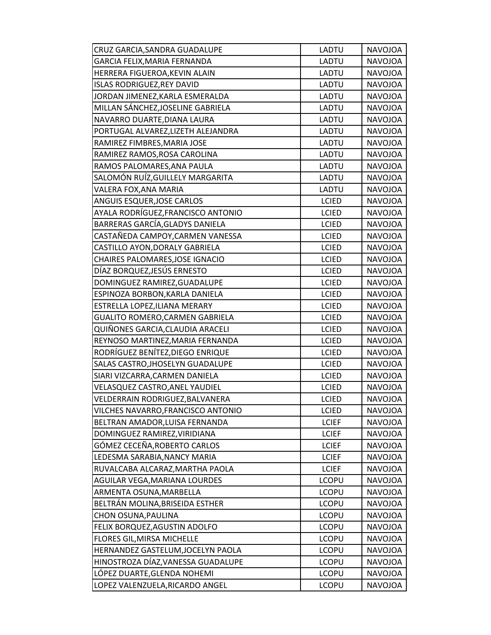| CRUZ GARCIA, SANDRA GUADALUPE          | LADTU        | <b>NAVOJOA</b> |
|----------------------------------------|--------------|----------------|
| GARCIA FELIX, MARIA FERNANDA           | LADTU        | NAVOJOA        |
| HERRERA FIGUEROA, KEVIN ALAIN          | LADTU        | NAVOJOA        |
| <b>ISLAS RODRIGUEZ, REY DAVID</b>      | LADTU        | <b>NAVOJOA</b> |
| JORDAN JIMENEZ, KARLA ESMERALDA        | LADTU        | <b>NAVOJOA</b> |
| MILLAN SÁNCHEZ, JOSELINE GABRIELA      | LADTU        | <b>NAVOJOA</b> |
| NAVARRO DUARTE, DIANA LAURA            | LADTU        | <b>NAVOJOA</b> |
| PORTUGAL ALVAREZ, LIZETH ALEJANDRA     | LADTU        | <b>NAVOJOA</b> |
| RAMIREZ FIMBRES, MARIA JOSE            | LADTU        | <b>NAVOJOA</b> |
| RAMIREZ RAMOS, ROSA CAROLINA           | LADTU        | NAVOJOA        |
| RAMOS PALOMARES, ANA PAULA             | LADTU        | NAVOJOA        |
| SALOMÓN RUÍZ, GUILLELY MARGARITA       | LADTU        | <b>NAVOJOA</b> |
| VALERA FOX, ANA MARIA                  | LADTU        | <b>NAVOJOA</b> |
| ANGUIS ESQUER, JOSE CARLOS             | <b>LCIED</b> | <b>NAVOJOA</b> |
| AYALA RODRÍGUEZ,FRANCISCO ANTONIO      | <b>LCIED</b> | <b>NAVOJOA</b> |
| BARRERAS GARCÍA, GLADYS DANIELA        | <b>LCIED</b> | NAVOJOA        |
| CASTAÑEDA CAMPOY, CARMEN VANESSA       | <b>LCIED</b> | NAVOJOA        |
| CASTILLO AYON, DORALY GABRIELA         | <b>LCIED</b> | <b>NAVOJOA</b> |
| CHAIRES PALOMARES, JOSE IGNACIO        | <b>LCIED</b> | <b>NAVOJOA</b> |
| DÍAZ BORQUEZ, JESÚS ERNESTO            | <b>LCIED</b> | <b>NAVOJOA</b> |
| DOMINGUEZ RAMIREZ, GUADALUPE           | <b>LCIED</b> | NAVOJOA        |
| ESPINOZA BORBON, KARLA DANIELA         | <b>LCIED</b> | NAVOJOA        |
| ESTRELLA LOPEZ, ILIANA MERARY          | <b>LCIED</b> | <b>NAVOJOA</b> |
| <b>GUALITO ROMERO, CARMEN GABRIELA</b> | <b>LCIED</b> | <b>NAVOJOA</b> |
| QUIÑONES GARCIA,CLAUDIA ARACELI        | <b>LCIED</b> | NAVOJOA        |
| REYNOSO MARTINEZ, MARIA FERNANDA       | <b>LCIED</b> | <b>NAVOJOA</b> |
| RODRÍGUEZ BENÍTEZ, DIEGO ENRIQUE       | LCIED        | <b>NAVOJOA</b> |
| SALAS CASTRO, JHOSELYN GUADALUPE       | <b>LCIED</b> | NAVOJOA        |
| SIARI VIZCARRA, CARMEN DANIELA         | <b>LCIED</b> | <b>NAVOJOA</b> |
| VELASQUEZ CASTRO, ANEL YAUDIEL         | <b>LCIED</b> | NAVOJOA        |
| VELDERRAIN RODRIGUEZ, BALVANERA        | <b>LCIED</b> | <b>NAVOJOA</b> |
| VILCHES NAVARRO, FRANCISCO ANTONIO     | <b>LCIED</b> | <b>NAVOJOA</b> |
| BELTRAN AMADOR, LUISA FERNANDA         | <b>LCIEF</b> | NAVOJOA        |
| DOMINGUEZ RAMIREZ, VIRIDIANA           | <b>LCIEF</b> | NAVOJOA        |
| GÓMEZ CECEÑA, ROBERTO CARLOS           | <b>LCIEF</b> | NAVOJOA        |
| LEDESMA SARABIA, NANCY MARIA           | <b>LCIEF</b> | <b>NAVOJOA</b> |
| RUVALCABA ALCARAZ, MARTHA PAOLA        | <b>LCIEF</b> | NAVOJOA        |
| AGUILAR VEGA, MARIANA LOURDES          | <b>LCOPU</b> | <b>NAVOJOA</b> |
| ARMENTA OSUNA, MARBELLA                | <b>LCOPU</b> | NAVOJOA        |
| BELTRÁN MOLINA, BRISEIDA ESTHER        | <b>LCOPU</b> | NAVOJOA        |
| CHON OSUNA, PAULINA                    | <b>LCOPU</b> | NAVOJOA        |
| FELIX BORQUEZ, AGUSTIN ADOLFO          | <b>LCOPU</b> | NAVOJOA        |
| FLORES GIL, MIRSA MICHELLE             | <b>LCOPU</b> | NAVOJOA        |
| HERNANDEZ GASTELUM, JOCELYN PAOLA      | <b>LCOPU</b> | NAVOJOA        |
| HINOSTROZA DÍAZ, VANESSA GUADALUPE     | <b>LCOPU</b> | <b>NAVOJOA</b> |
| LÓPEZ DUARTE, GLENDA NOHEMI            | <b>LCOPU</b> | NAVOJOA        |
| LOPEZ VALENZUELA, RICARDO ANGEL        | <b>LCOPU</b> | NAVOJOA        |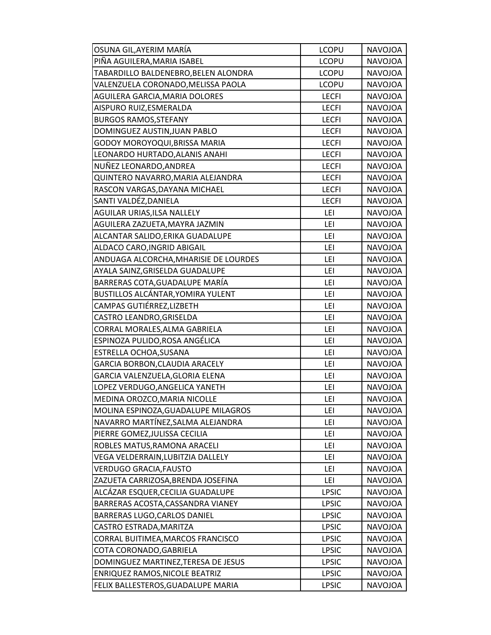| OSUNA GIL,AYERIM MARÍA                | <b>LCOPU</b> | <b>NAVOJOA</b> |
|---------------------------------------|--------------|----------------|
| PIÑA AGUILERA,MARIA ISABEL            | <b>LCOPU</b> | NAVOJOA        |
| TABARDILLO BALDENEBRO,BELEN ALONDRA   | <b>LCOPU</b> | <b>NAVOJOA</b> |
| VALENZUELA CORONADO, MELISSA PAOLA    | <b>LCOPU</b> | <b>NAVOJOA</b> |
| AGUILERA GARCIA, MARIA DOLORES        | <b>LECFI</b> | <b>NAVOJOA</b> |
| AISPURO RUIZ,ESMERALDA                | <b>LECFI</b> | NAVOJOA        |
| <b>BURGOS RAMOS, STEFANY</b>          | <b>LECFI</b> | <b>NAVOJOA</b> |
| DOMINGUEZ AUSTIN, JUAN PABLO          | <b>LECFI</b> | <b>NAVOJOA</b> |
| GODOY MOROYOQUI, BRISSA MARIA         | <b>LECFI</b> | <b>NAVOJOA</b> |
| LEONARDO HURTADO, ALANIS ANAHI        | <b>LECFI</b> | NAVOJOA        |
| NUÑEZ LEONARDO,ANDREA                 | <b>LECFI</b> | <b>NAVOJOA</b> |
| QUINTERO NAVARRO, MARIA ALEJANDRA     | <b>LECFI</b> | <b>NAVOJOA</b> |
| RASCON VARGAS, DAYANA MICHAEL         | <b>LECFI</b> | <b>NAVOJOA</b> |
| SANTI VALDÉZ, DANIELA                 | <b>LECFI</b> | <b>NAVOJOA</b> |
| AGUILAR URIAS, ILSA NALLELY           | LEI          | <b>NAVOJOA</b> |
| AGUILERA ZAZUETA, MAYRA JAZMIN        | LEI          | <b>NAVOJOA</b> |
| ALCANTAR SALIDO, ERIKA GUADALUPE      | LEI          | NAVOJOA        |
| ALDACO CARO, INGRID ABIGAIL           | LEI          | <b>NAVOJOA</b> |
| ANDUAGA ALCORCHA, MHARISIE DE LOURDES | LEI          | <b>NAVOJOA</b> |
| AYALA SAINZ, GRISELDA GUADALUPE       | LEI          | <b>NAVOJOA</b> |
| BARRERAS COTA, GUADALUPE MARÍA        | LEI          | <b>NAVOJOA</b> |
| BUSTILLOS ALCÁNTAR, YOMIRA YULENT     | LEI          | <b>NAVOJOA</b> |
| CAMPAS GUTIÉRREZ,LIZBETH              | LEI          | <b>NAVOJOA</b> |
| CASTRO LEANDRO, GRISELDA              | LEI          | <b>NAVOJOA</b> |
| CORRAL MORALES, ALMA GABRIELA         | LEI          | NAVOJOA        |
| ESPINOZA PULIDO,ROSA ANGÉLICA         | LEI          | <b>NAVOJOA</b> |
| ESTRELLA OCHOA, SUSANA                | LEI          | <b>NAVOJOA</b> |
| GARCIA BORBON, CLAUDIA ARACELY        | LEI          | NAVOJOA        |
| GARCIA VALENZUELA, GLORIA ELENA       | LEI          | NAVOJOA        |
| LOPEZ VERDUGO, ANGELICA YANETH        | LEI          | <b>NAVOJOA</b> |
| MEDINA OROZCO, MARIA NICOLLE          | LEI          | <b>NAVOJOA</b> |
| MOLINA ESPINOZA, GUADALUPE MILAGROS   | LEI          | NAVOJOA        |
| NAVARRO MARTÍNEZ, SALMA ALEJANDRA     | LEI          | NAVOJOA        |
| PIERRE GOMEZ, JULISSA CECILIA         | LEI          | <b>NAVOJOA</b> |
| ROBLES MATUS, RAMONA ARACELI          | LEI          | <b>NAVOJOA</b> |
| VEGA VELDERRAIN, LUBITZIA DALLELY     | LEI          | NAVOJOA        |
| <b>VERDUGO GRACIA, FAUSTO</b>         | LEI          | NAVOJOA        |
| ZAZUETA CARRIZOSA, BRENDA JOSEFINA    | LEI          | <b>NAVOJOA</b> |
| ALCÁZAR ESQUER,CECILIA GUADALUPE      | <b>LPSIC</b> | <b>NAVOJOA</b> |
| BARRERAS ACOSTA, CASSANDRA VIANEY     | <b>LPSIC</b> | NAVOJOA        |
| BARRERAS LUGO, CARLOS DANIEL          | <b>LPSIC</b> | <b>NAVOJOA</b> |
| CASTRO ESTRADA, MARITZA               | <b>LPSIC</b> | NAVOJOA        |
| CORRAL BUITIMEA, MARCOS FRANCISCO     | <b>LPSIC</b> | NAVOJOA        |
| COTA CORONADO, GABRIELA               | <b>LPSIC</b> | NAVOJOA        |
| DOMINGUEZ MARTINEZ, TERESA DE JESUS   | <b>LPSIC</b> | NAVOJOA        |
| ENRIQUEZ RAMOS, NICOLE BEATRIZ        | <b>LPSIC</b> | NAVOJOA        |
| FELIX BALLESTEROS, GUADALUPE MARIA    | <b>LPSIC</b> | NAVOJOA        |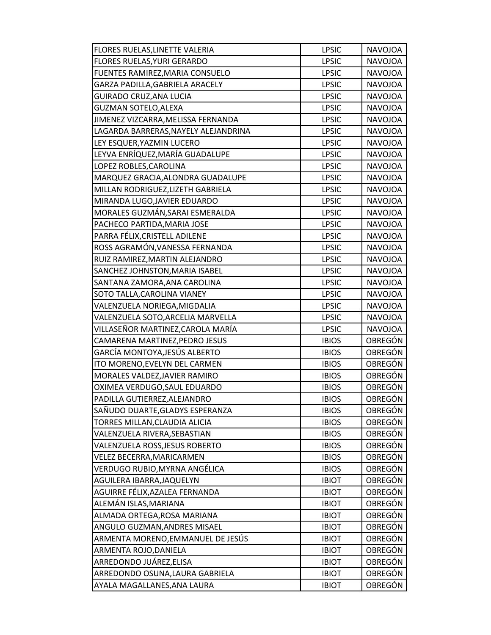| FLORES RUELAS, LINETTE VALERIA       | <b>LPSIC</b> | <b>NAVOJOA</b> |
|--------------------------------------|--------------|----------------|
| FLORES RUELAS, YURI GERARDO          | <b>LPSIC</b> | <b>NAVOJOA</b> |
| FUENTES RAMIREZ, MARIA CONSUELO      | <b>LPSIC</b> | <b>NAVOJOA</b> |
| GARZA PADILLA, GABRIELA ARACELY      | <b>LPSIC</b> | <b>NAVOJOA</b> |
| <b>GUIRADO CRUZ, ANA LUCIA</b>       | <b>LPSIC</b> | <b>NAVOJOA</b> |
| <b>GUZMAN SOTELO, ALEXA</b>          | <b>LPSIC</b> | NAVOJOA        |
| JIMENEZ VIZCARRA, MELISSA FERNANDA   | <b>LPSIC</b> | <b>NAVOJOA</b> |
| LAGARDA BARRERAS, NAYELY ALEJANDRINA | <b>LPSIC</b> | <b>NAVOJOA</b> |
| LEY ESQUER, YAZMIN LUCERO            | <b>LPSIC</b> | <b>NAVOJOA</b> |
| LEYVA ENRÍQUEZ, MARÍA GUADALUPE      | <b>LPSIC</b> | NAVOJOA        |
| LOPEZ ROBLES, CAROLINA               | <b>LPSIC</b> | NAVOJOA        |
| MARQUEZ GRACIA, ALONDRA GUADALUPE    | <b>LPSIC</b> | <b>NAVOJOA</b> |
| MILLAN RODRIGUEZ, LIZETH GABRIELA    | <b>LPSIC</b> | <b>NAVOJOA</b> |
| MIRANDA LUGO, JAVIER EDUARDO         | <b>LPSIC</b> | <b>NAVOJOA</b> |
| MORALES GUZMÁN, SARAI ESMERALDA      | <b>LPSIC</b> | <b>NAVOJOA</b> |
| PACHECO PARTIDA, MARIA JOSE          | <b>LPSIC</b> | <b>NAVOJOA</b> |
| PARRA FÉLIX, CRISTELL ADILENE        | <b>LPSIC</b> | NAVOJOA        |
| ROSS AGRAMÓN, VANESSA FERNANDA       | <b>LPSIC</b> | <b>NAVOJOA</b> |
| RUIZ RAMIREZ, MARTIN ALEJANDRO       | <b>LPSIC</b> | <b>NAVOJOA</b> |
| SANCHEZ JOHNSTON, MARIA ISABEL       | <b>LPSIC</b> | <b>NAVOJOA</b> |
| SANTANA ZAMORA, ANA CAROLINA         | <b>LPSIC</b> | <b>NAVOJOA</b> |
| SOTO TALLA, CAROLINA VIANEY          | <b>LPSIC</b> | <b>NAVOJOA</b> |
| VALENZUELA NORIEGA, MIGDALIA         | <b>LPSIC</b> | <b>NAVOJOA</b> |
| VALENZUELA SOTO, ARCELIA MARVELLA    | <b>LPSIC</b> | <b>NAVOJOA</b> |
| VILLASEÑOR MARTINEZ,CAROLA MARÍA     | <b>LPSIC</b> | NAVOJOA        |
| CAMARENA MARTINEZ, PEDRO JESUS       | <b>IBIOS</b> | <b>OBREGÓN</b> |
| GARCÍA MONTOYA,JESÚS ALBERTO         | <b>IBIOS</b> | OBREGÓN        |
| ITO MORENO, EVELYN DEL CARMEN        | <b>IBIOS</b> | OBREGÓN        |
| MORALES VALDEZ, JAVIER RAMIRO        | <b>IBIOS</b> | OBREGÓN        |
| OXIMEA VERDUGO, SAUL EDUARDO         | <b>IBIOS</b> | OBREGÓN        |
| PADILLA GUTIERREZ, ALEJANDRO         | <b>IBIOS</b> | OBREGÓN        |
| SAÑUDO DUARTE,GLADYS ESPERANZA       | <b>IBIOS</b> | OBREGÓN        |
| TORRES MILLAN, CLAUDIA ALICIA        | <b>IBIOS</b> | <b>OBREGÓN</b> |
| VALENZUELA RIVERA, SEBASTIAN         | <b>IBIOS</b> | OBREGÓN        |
| VALENZUELA ROSS, JESUS ROBERTO       | <b>IBIOS</b> | OBREGÓN        |
| VELEZ BECERRA, MARICARMEN            | <b>IBIOS</b> | OBREGÓN        |
| VERDUGO RUBIO, MYRNA ANGÉLICA        | <b>IBIOS</b> | OBREGÓN        |
| AGUILERA IBARRA, JAQUELYN            | <b>IBIOT</b> | OBREGÓN        |
| AGUIRRE FÉLIX, AZALEA FERNANDA       | <b>IBIOT</b> | OBREGÓN        |
| ALEMÁN ISLAS, MARIANA                | <b>IBIOT</b> | <b>OBREGÓN</b> |
| ALMADA ORTEGA, ROSA MARIANA          | <b>IBIOT</b> | OBREGÓN        |
| ANGULO GUZMAN, ANDRES MISAEL         | <b>IBIOT</b> | OBREGÓN        |
| ARMENTA MORENO, EMMANUEL DE JESÚS    | <b>IBIOT</b> | OBREGÓN        |
| ARMENTA ROJO, DANIELA                | <b>IBIOT</b> | OBREGÓN        |
| ARREDONDO JUÁREZ, ELISA              | <b>IBIOT</b> | OBREGÓN        |
| ARREDONDO OSUNA, LAURA GABRIELA      | <b>IBIOT</b> | OBREGÓN        |
| AYALA MAGALLANES, ANA LAURA          | <b>IBIOT</b> | OBREGÓN        |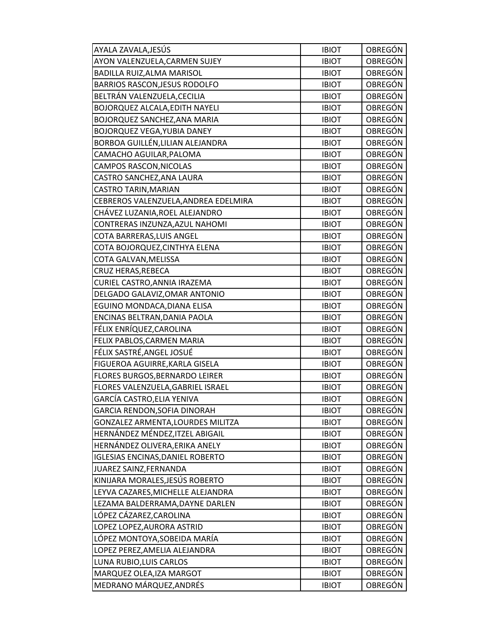| AYALA ZAVALA,JESÚS                      | <b>IBIOT</b> | OBREGÓN        |
|-----------------------------------------|--------------|----------------|
| AYON VALENZUELA, CARMEN SUJEY           | <b>IBIOT</b> | <b>OBREGÓN</b> |
| BADILLA RUIZ, ALMA MARISOL              | <b>IBIOT</b> | OBREGÓN        |
| BARRIOS RASCON, JESUS RODOLFO           | <b>IBIOT</b> | OBREGÓN        |
| BELTRÁN VALENZUELA, CECILIA             | <b>IBIOT</b> | OBREGÓN        |
| BOJORQUEZ ALCALA, EDITH NAYELI          | <b>IBIOT</b> | OBREGÓN        |
| BOJORQUEZ SANCHEZ, ANA MARIA            | <b>IBIOT</b> | <b>OBREGÓN</b> |
| <b>BOJORQUEZ VEGA, YUBIA DANEY</b>      | <b>IBIOT</b> | <b>OBREGÓN</b> |
| BORBOA GUILLÉN,LILIAN ALEJANDRA         | <b>IBIOT</b> | <b>OBREGÓN</b> |
| CAMACHO AGUILAR, PALOMA                 | <b>IBIOT</b> | OBREGÓN        |
| CAMPOS RASCON, NICOLAS                  | <b>IBIOT</b> | OBREGÓN        |
| CASTRO SANCHEZ, ANA LAURA               | <b>IBIOT</b> | OBREGÓN        |
| CASTRO TARIN, MARIAN                    | <b>IBIOT</b> | OBREGÓN        |
| CEBREROS VALENZUELA, ANDREA EDELMIRA    | <b>IBIOT</b> | OBREGÓN        |
| CHÁVEZ LUZANIA,ROEL ALEJANDRO           | <b>IBIOT</b> | OBREGÓN        |
| CONTRERAS INZUNZA, AZUL NAHOMI          | <b>IBIOT</b> | OBREGÓN        |
| COTA BARRERAS, LUIS ANGEL               | <b>IBIOT</b> | OBREGÓN        |
| COTA BOJORQUEZ, CINTHYA ELENA           | <b>IBIOT</b> | OBREGÓN        |
| COTA GALVAN, MELISSA                    | <b>IBIOT</b> | OBREGÓN        |
| CRUZ HERAS, REBECA                      | <b>IBIOT</b> | <b>OBREGÓN</b> |
| CURIEL CASTRO, ANNIA IRAZEMA            | <b>IBIOT</b> | <b>OBREGÓN</b> |
| DELGADO GALAVIZ, OMAR ANTONIO           | <b>IBIOT</b> | OBREGÓN        |
| EGUINO MONDACA, DIANA ELISA             | <b>IBIOT</b> | OBREGÓN        |
| ENCINAS BELTRAN, DANIA PAOLA            | <b>IBIOT</b> | OBREGÓN        |
| FÉLIX ENRÍQUEZ, CAROLINA                | <b>IBIOT</b> | OBREGÓN        |
| FELIX PABLOS, CARMEN MARIA              | <b>IBIOT</b> | <b>OBREGÓN</b> |
| FÉLIX SASTRÉ, ANGEL JOSUÉ               | <b>IBIOT</b> | OBREGÓN        |
| FIGUEROA AGUIRRE, KARLA GISELA          | <b>IBIOT</b> | OBREGÓN        |
| FLORES BURGOS, BERNARDO LEIRER          | <b>IBIOT</b> | OBREGÓN        |
| FLORES VALENZUELA, GABRIEL ISRAEL       | <b>IBIOT</b> | OBREGÓN        |
| GARCÍA CASTRO,ELIA YENIVA               | <b>IBIOT</b> | OBREGÓN        |
| GARCIA RENDON, SOFIA DINORAH            | <b>IBIOT</b> | OBREGÓN        |
| GONZALEZ ARMENTA, LOURDES MILITZA       | <b>IBIOT</b> | <b>OBREGÓN</b> |
| HERNÁNDEZ MÉNDEZ,ITZEL ABIGAIL          | <b>IBIOT</b> | OBREGÓN        |
| HERNÁNDEZ OLIVERA,ERIKA ANELY           | <b>IBIOT</b> | OBREGÓN        |
| <b>IGLESIAS ENCINAS, DANIEL ROBERTO</b> | <b>IBIOT</b> | OBREGÓN        |
| JUAREZ SAINZ, FERNANDA                  | <b>IBIOT</b> | OBREGÓN        |
| KINIJARA MORALES, JESÚS ROBERTO         | <b>IBIOT</b> | OBREGÓN        |
| LEYVA CAZARES, MICHELLE ALEJANDRA       | <b>IBIOT</b> | OBREGÓN        |
| LEZAMA BALDERRAMA, DAYNE DARLEN         | <b>IBIOT</b> | <b>OBREGÓN</b> |
| LÓPEZ CÁZAREZ,CAROLINA                  | <b>IBIOT</b> | OBREGÓN        |
| LOPEZ LOPEZ, AURORA ASTRID              | <b>IBIOT</b> | OBREGÓN        |
| LÓPEZ MONTOYA,SOBEIDA MARÍA             | <b>IBIOT</b> | OBREGÓN        |
| LOPEZ PEREZ, AMELIA ALEJANDRA           | <b>IBIOT</b> | OBREGÓN        |
| LUNA RUBIO, LUIS CARLOS                 | <b>IBIOT</b> | <b>OBREGÓN</b> |
| MARQUEZ OLEA, IZA MARGOT                | <b>IBIOT</b> | OBREGÓN        |
| MEDRANO MÁRQUEZ, ANDRÉS                 | <b>IBIOT</b> | OBREGÓN        |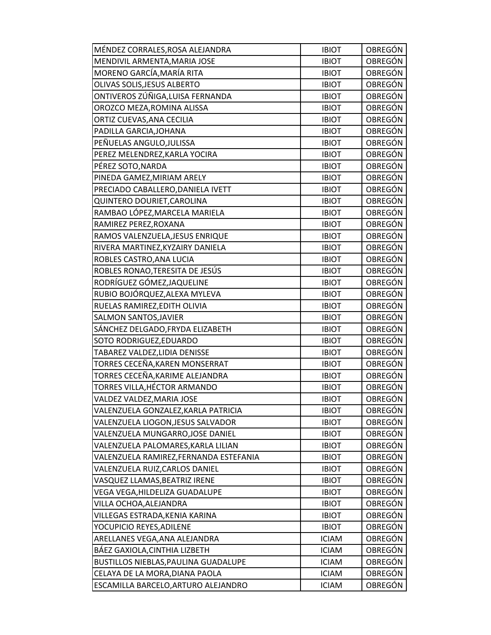| MÉNDEZ CORRALES, ROSA ALEJANDRA        | <b>IBIOT</b> | OBREGÓN        |
|----------------------------------------|--------------|----------------|
| MENDIVIL ARMENTA, MARIA JOSE           | <b>IBIOT</b> | OBREGÓN        |
| MORENO GARCÍA, MARÍA RITA              | <b>IBIOT</b> | OBREGÓN        |
| OLIVAS SOLIS, JESUS ALBERTO            | <b>IBIOT</b> | <b>OBREGÓN</b> |
| ONTIVEROS ZÚÑIGA, LUISA FERNANDA       | <b>IBIOT</b> | OBREGÓN        |
| OROZCO MEZA, ROMINA ALISSA             | <b>IBIOT</b> | OBREGÓN        |
| ORTIZ CUEVAS, ANA CECILIA              | <b>IBIOT</b> | <b>OBREGÓN</b> |
| PADILLA GARCIA, JOHANA                 | <b>IBIOT</b> | OBREGÓN        |
| PEÑUELAS ANGULO, JULISSA               | <b>IBIOT</b> | OBREGÓN        |
| PEREZ MELENDREZ, KARLA YOCIRA          | <b>IBIOT</b> | OBREGÓN        |
| PÉREZ SOTO, NARDA                      | <b>IBIOT</b> | OBREGÓN        |
| PINEDA GAMEZ, MIRIAM ARELY             | <b>IBIOT</b> | <b>OBREGÓN</b> |
| PRECIADO CABALLERO, DANIELA IVETT      | <b>IBIOT</b> | OBREGÓN        |
| QUINTERO DOURIET, CAROLINA             | <b>IBIOT</b> | <b>OBREGÓN</b> |
| RAMBAO LÓPEZ, MARCELA MARIELA          | <b>IBIOT</b> | OBREGÓN        |
| RAMIREZ PEREZ, ROXANA                  | <b>IBIOT</b> | OBREGÓN        |
| RAMOS VALENZUELA, JESUS ENRIQUE        | <b>IBIOT</b> | OBREGÓN        |
| RIVERA MARTINEZ, KYZAIRY DANIELA       | <b>IBIOT</b> | OBREGÓN        |
| ROBLES CASTRO, ANA LUCIA               | <b>IBIOT</b> | <b>OBREGÓN</b> |
| ROBLES RONAO, TERESITA DE JESÚS        | <b>IBIOT</b> | OBREGÓN        |
| RODRÍGUEZ GÓMEZ, JAQUELINE             | <b>IBIOT</b> | OBREGÓN        |
| RUBIO BOJÓRQUEZ,ALEXA MYLEVA           | <b>IBIOT</b> | OBREGÓN        |
| RUELAS RAMIREZ, EDITH OLIVIA           | <b>IBIOT</b> | <b>OBREGÓN</b> |
| SALMON SANTOS, JAVIER                  | <b>IBIOT</b> | OBREGÓN        |
| SÁNCHEZ DELGADO, FRYDA ELIZABETH       | <b>IBIOT</b> | OBREGÓN        |
| SOTO RODRIGUEZ, EDUARDO                | <b>IBIOT</b> | <b>OBREGÓN</b> |
| TABAREZ VALDEZ,LIDIA DENISSE           | <b>IBIOT</b> | OBREGÓN        |
| TORRES CECEÑA, KAREN MONSERRAT         | <b>IBIOT</b> | OBREGÓN        |
| TORRES CECEÑA, KARIME ALEJANDRA        | <b>IBIOT</b> | <b>OBREGÓN</b> |
| TORRES VILLA, HÉCTOR ARMANDO           | <b>IBIOT</b> | OBREGÓN        |
| VALDEZ VALDEZ, MARIA JOSE              | <b>IBIOT</b> | OBREGÓN        |
| VALENZUELA GONZALEZ, KARLA PATRICIA    | <b>IBIOT</b> | OBREGÓN        |
| VALENZUELA LIOGON, JESUS SALVADOR      | <b>IBIOT</b> | <b>OBREGÓN</b> |
| VALENZUELA MUNGARRO, JOSE DANIEL       | <b>IBIOT</b> | OBREGÓN        |
| VALENZUELA PALOMARES, KARLA LILIAN     | <b>IBIOT</b> | OBREGÓN        |
| VALENZUELA RAMIREZ, FERNANDA ESTEFANIA | <b>IBIOT</b> | OBREGÓN        |
| VALENZUELA RUIZ, CARLOS DANIEL         | <b>IBIOT</b> | OBREGÓN        |
| VASQUEZ LLAMAS, BEATRIZ IRENE          | <b>IBIOT</b> | OBREGÓN        |
| VEGA VEGA, HILDELIZA GUADALUPE         | <b>IBIOT</b> | OBREGÓN        |
| VILLA OCHOA, ALEJANDRA                 | <b>IBIOT</b> | OBREGÓN        |
| VILLEGAS ESTRADA, KENIA KARINA         | <b>IBIOT</b> | OBREGÓN        |
| YOCUPICIO REYES, ADILENE               | <b>IBIOT</b> | OBREGÓN        |
| ARELLANES VEGA, ANA ALEJANDRA          | <b>ICIAM</b> | OBREGÓN        |
| BÁEZ GAXIOLA, CINTHIA LIZBETH          | <b>ICIAM</b> | OBREGÓN        |
| BUSTILLOS NIEBLAS, PAULINA GUADALUPE   | <b>ICIAM</b> | <b>OBREGÓN</b> |
| CELAYA DE LA MORA, DIANA PAOLA         | <b>ICIAM</b> | OBREGÓN        |
| ESCAMILLA BARCELO, ARTURO ALEJANDRO    | <b>ICIAM</b> | OBREGÓN        |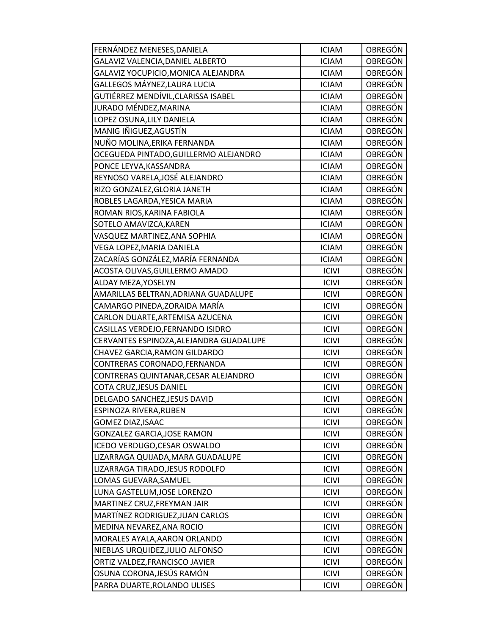| FERNÁNDEZ MENESES, DANIELA              | <b>ICIAM</b> | OBREGÓN        |
|-----------------------------------------|--------------|----------------|
| GALAVIZ VALENCIA, DANIEL ALBERTO        | <b>ICIAM</b> | <b>OBREGÓN</b> |
| GALAVIZ YOCUPICIO, MONICA ALEJANDRA     | <b>ICIAM</b> | OBREGÓN        |
| GALLEGOS MÁYNEZ, LAURA LUCIA            | <b>ICIAM</b> | OBREGÓN        |
| GUTIÉRREZ MENDÍVIL, CLARISSA ISABEL     | <b>ICIAM</b> | <b>OBREGÓN</b> |
| JURADO MÉNDEZ, MARINA                   | <b>ICIAM</b> | OBREGÓN        |
| LOPEZ OSUNA, LILY DANIELA               | <b>ICIAM</b> | <b>OBREGÓN</b> |
| MANIG IÑIGUEZ, AGUSTÍN                  | <b>ICIAM</b> | OBREGÓN        |
| NUÑO MOLINA, ERIKA FERNANDA             | <b>ICIAM</b> | <b>OBREGÓN</b> |
| OCEGUEDA PINTADO, GUILLERMO ALEJANDRO   | <b>ICIAM</b> | OBREGÓN        |
| PONCE LEYVA, KASSANDRA                  | <b>ICIAM</b> | OBREGÓN        |
| REYNOSO VARELA, JOSÉ ALEJANDRO          | <b>ICIAM</b> | OBREGÓN        |
| RIZO GONZALEZ, GLORIA JANETH            | <b>ICIAM</b> | OBREGÓN        |
| ROBLES LAGARDA, YESICA MARIA            | <b>ICIAM</b> | OBREGÓN        |
| ROMAN RIOS, KARINA FABIOLA              | <b>ICIAM</b> | OBREGÓN        |
| SOTELO AMAVIZCA, KAREN                  | <b>ICIAM</b> | OBREGÓN        |
| VASQUEZ MARTINEZ, ANA SOPHIA            | <b>ICIAM</b> | OBREGÓN        |
| VEGA LOPEZ, MARIA DANIELA               | <b>ICIAM</b> | OBREGÓN        |
| ZACARÍAS GONZÁLEZ, MARÍA FERNANDA       | <b>ICIAM</b> | <b>OBREGÓN</b> |
| ACOSTA OLIVAS, GUILLERMO AMADO          | <b>ICIVI</b> | <b>OBREGÓN</b> |
| ALDAY MEZA, YOSELYN                     | <b>ICIVI</b> | <b>OBREGÓN</b> |
| AMARILLAS BELTRAN, ADRIANA GUADALUPE    | <b>ICIVI</b> | OBREGÓN        |
| CAMARGO PINEDA, ZORAIDA MARÍA           | <b>ICIVI</b> | OBREGÓN        |
| CARLON DUARTE, ARTEMISA AZUCENA         | <b>ICIVI</b> | OBREGÓN        |
| CASILLAS VERDEJO, FERNANDO ISIDRO       | <b>ICIVI</b> | OBREGÓN        |
| CERVANTES ESPINOZA, ALEJANDRA GUADALUPE | <b>ICIVI</b> | <b>OBREGÓN</b> |
| CHAVEZ GARCIA, RAMON GILDARDO           | <b>ICIVI</b> | OBREGÓN        |
| CONTRERAS CORONADO, FERNANDA            | <b>ICIVI</b> | OBREGÓN        |
| CONTRERAS QUINTANAR, CESAR ALEJANDRO    | <b>ICIVI</b> | OBREGÓN        |
| COTA CRUZ, JESUS DANIEL                 | <b>ICIVI</b> | OBREGÓN        |
| DELGADO SANCHEZ, JESUS DAVID            | <b>ICIVI</b> | <b>OBREGÓN</b> |
| ESPINOZA RIVERA, RUBEN                  | <b>ICIVI</b> | OBREGÓN        |
| GOMEZ DIAZ, ISAAC                       | <b>ICIVI</b> | <b>OBREGÓN</b> |
| <b>GONZALEZ GARCIA, JOSE RAMON</b>      | <b>ICIVI</b> | OBREGÓN        |
| ICEDO VERDUGO, CESAR OSWALDO            | <b>ICIVI</b> | OBREGÓN        |
| LIZARRAGA QUIJADA, MARA GUADALUPE       | <b>ICIVI</b> | OBREGÓN        |
| LIZARRAGA TIRADO, JESUS RODOLFO         | <b>ICIVI</b> | OBREGÓN        |
| LOMAS GUEVARA, SAMUEL                   | <b>ICIVI</b> | OBREGÓN        |
| LUNA GASTELUM, JOSE LORENZO             | <b>ICIVI</b> | OBREGÓN        |
| MARTINEZ CRUZ, FREYMAN JAIR             | <b>ICIVI</b> | OBREGÓN        |
| MARTÍNEZ RODRIGUEZ, JUAN CARLOS         | <b>ICIVI</b> | OBREGÓN        |
| MEDINA NEVAREZ, ANA ROCIO               | <b>ICIVI</b> | OBREGÓN        |
| MORALES AYALA, AARON ORLANDO            | <b>ICIVI</b> | OBREGÓN        |
| NIEBLAS URQUIDEZ, JULIO ALFONSO         | <b>ICIVI</b> | OBREGÓN        |
| ORTIZ VALDEZ, FRANCISCO JAVIER          | <b>ICIVI</b> | <b>OBREGÓN</b> |
| OSUNA CORONA, JESÚS RAMÓN               | <b>ICIVI</b> | OBREGÓN        |
| PARRA DUARTE, ROLANDO ULISES            | <b>ICIVI</b> | OBREGÓN        |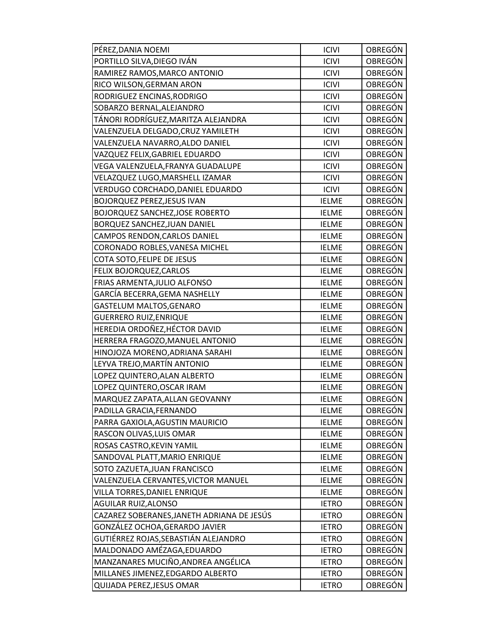| PÉREZ, DANIA NOEMI                         | <b>ICIVI</b> | OBREGÓN        |
|--------------------------------------------|--------------|----------------|
| PORTILLO SILVA, DIEGO IVÁN                 | <b>ICIVI</b> | <b>OBREGÓN</b> |
| RAMIREZ RAMOS, MARCO ANTONIO               | <b>ICIVI</b> | OBREGÓN        |
| RICO WILSON, GERMAN ARON                   | <b>ICIVI</b> | <b>OBREGÓN</b> |
| RODRIGUEZ ENCINAS, RODRIGO                 | <b>ICIVI</b> | <b>OBREGÓN</b> |
| SOBARZO BERNAL, ALEJANDRO                  | <b>ICIVI</b> | OBREGÓN        |
| TÁNORI RODRÍGUEZ,MARITZA ALEJANDRA         | <b>ICIVI</b> | <b>OBREGÓN</b> |
| VALENZUELA DELGADO, CRUZ YAMILETH          | <b>ICIVI</b> | <b>OBREGÓN</b> |
| VALENZUELA NAVARRO, ALDO DANIEL            | <b>ICIVI</b> | <b>OBREGÓN</b> |
| VAZQUEZ FELIX, GABRIEL EDUARDO             | <b>ICIVI</b> | OBREGÓN        |
| VEGA VALENZUELA, FRANYA GUADALUPE          | <b>ICIVI</b> | OBREGÓN        |
| VELAZQUEZ LUGO, MARSHELL IZAMAR            | <b>ICIVI</b> | OBREGÓN        |
| VERDUGO CORCHADO, DANIEL EDUARDO           | <b>ICIVI</b> | OBREGÓN        |
| <b>BOJORQUEZ PEREZ, JESUS IVAN</b>         | <b>IELME</b> | <b>OBREGÓN</b> |
| <b>BOJORQUEZ SANCHEZ, JOSE ROBERTO</b>     | <b>IELME</b> | <b>OBREGÓN</b> |
| BORQUEZ SANCHEZ, JUAN DANIEL               | <b>IELME</b> | OBREGÓN        |
| CAMPOS RENDON, CARLOS DANIEL               | <b>IELME</b> | <b>OBREGÓN</b> |
| CORONADO ROBLES, VANESA MICHEL             | <b>IELME</b> | <b>OBREGÓN</b> |
| COTA SOTO, FELIPE DE JESUS                 | <b>IELME</b> | <b>OBREGÓN</b> |
| FELIX BOJORQUEZ, CARLOS                    | <b>IELME</b> | <b>OBREGÓN</b> |
| FRIAS ARMENTA, JULIO ALFONSO               | <b>IELME</b> | <b>OBREGÓN</b> |
| GARCÍA BECERRA, GEMA NASHELLY              | <b>IELME</b> | OBREGÓN        |
| GASTELUM MALTOS, GENARO                    | <b>IELME</b> | OBREGÓN        |
| <b>GUERRERO RUIZ, ENRIQUE</b>              | <b>IELME</b> | OBREGÓN        |
| HEREDIA ORDOÑEZ, HÉCTOR DAVID              | <b>IELME</b> | <b>OBREGÓN</b> |
| HERRERA FRAGOZO, MANUEL ANTONIO            | <b>IELME</b> | <b>OBREGÓN</b> |
| HINOJOZA MORENO, ADRIANA SARAHI            | <b>IELME</b> | <b>OBREGÓN</b> |
| LEYVA TREJO, MARTÍN ANTONIO                | <b>IELME</b> | OBREGÓN        |
| LOPEZ QUINTERO, ALAN ALBERTO               | <b>IELME</b> | OBREGÓN        |
| LOPEZ QUINTERO, OSCAR IRAM                 | <b>IELME</b> | OBREGÓN        |
| MARQUEZ ZAPATA, ALLAN GEOVANNY             | <b>IELME</b> | <b>OBREGÓN</b> |
| PADILLA GRACIA, FERNANDO                   | <b>IELME</b> | OBREGÓN        |
| PARRA GAXIOLA, AGUSTIN MAURICIO            | <b>IELME</b> | <b>OBREGÓN</b> |
| RASCON OLIVAS, LUIS OMAR                   | <b>IELME</b> | OBREGÓN        |
| ROSAS CASTRO, KEVIN YAMIL                  | <b>IELME</b> | <b>OBREGÓN</b> |
| SANDOVAL PLATT, MARIO ENRIQUE              | <b>IELME</b> | OBREGÓN        |
| SOTO ZAZUETA, JUAN FRANCISCO               | <b>IELME</b> | OBREGÓN        |
| VALENZUELA CERVANTES, VICTOR MANUEL        | <b>IELME</b> | <b>OBREGÓN</b> |
| VILLA TORRES, DANIEL ENRIQUE               | <b>IELME</b> | OBREGÓN        |
| <b>AGUILAR RUIZ, ALONSO</b>                | <b>IETRO</b> | <b>OBREGÓN</b> |
| CAZAREZ SOBERANES, JANETH ADRIANA DE JESÚS | <b>IETRO</b> | OBREGÓN        |
| GONZÁLEZ OCHOA, GERARDO JAVIER             | <b>IETRO</b> | OBREGÓN        |
| GUTIÉRREZ ROJAS, SEBASTIÁN ALEJANDRO       | <b>IETRO</b> | OBREGÓN        |
| MALDONADO AMÉZAGA, EDUARDO                 | <b>IETRO</b> | OBREGÓN        |
| MANZANARES MUCIÑO, ANDREA ANGÉLICA         | <b>IETRO</b> | <b>OBREGÓN</b> |
| MILLANES JIMENEZ, EDGARDO ALBERTO          | <b>IETRO</b> | <b>OBREGÓN</b> |
| QUIJADA PEREZ, JESUS OMAR                  | <b>IETRO</b> | OBREGÓN        |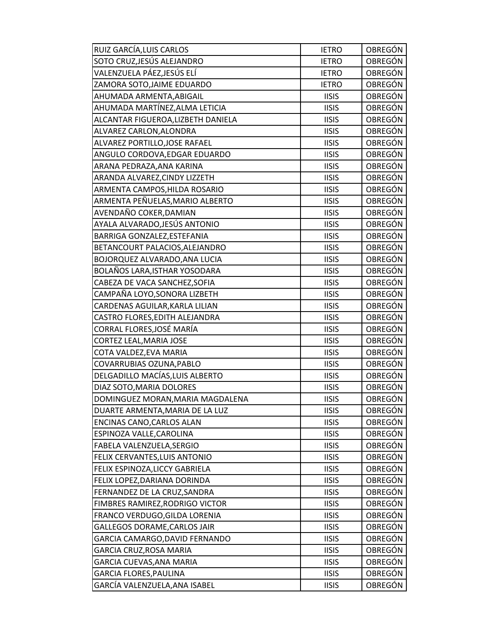| RUIZ GARCÍA, LUIS CARLOS           | <b>IETRO</b> | OBREGÓN        |
|------------------------------------|--------------|----------------|
| SOTO CRUZ, JESÚS ALEJANDRO         | <b>IETRO</b> | <b>OBREGÓN</b> |
| VALENZUELA PÁEZ,JESÚS ELÍ          | <b>IETRO</b> | OBREGÓN        |
| ZAMORA SOTO, JAIME EDUARDO         | <b>IETRO</b> | <b>OBREGÓN</b> |
| AHUMADA ARMENTA, ABIGAIL           | <b>IISIS</b> | OBREGÓN        |
| AHUMADA MARTÍNEZ, ALMA LETICIA     | <b>IISIS</b> | OBREGÓN        |
| ALCANTAR FIGUEROA, LIZBETH DANIELA | <b>IISIS</b> | <b>OBREGÓN</b> |
| ALVAREZ CARLON, ALONDRA            | <b>IISIS</b> | OBREGÓN        |
| ALVAREZ PORTILLO, JOSE RAFAEL      | <b>IISIS</b> | OBREGÓN        |
| ANGULO CORDOVA, EDGAR EDUARDO      | <b>IISIS</b> | OBREGÓN        |
| ARANA PEDRAZA, ANA KARINA          | <b>IISIS</b> | <b>OBREGÓN</b> |
| ARANDA ALVAREZ, CINDY LIZZETH      | <b>IISIS</b> | OBREGÓN        |
| ARMENTA CAMPOS, HILDA ROSARIO      | <b>IISIS</b> | <b>OBREGÓN</b> |
| ARMENTA PEÑUELAS, MARIO ALBERTO    | <b>IISIS</b> | <b>OBREGÓN</b> |
| AVENDAÑO COKER, DAMIAN             | <b>IISIS</b> | <b>OBREGÓN</b> |
| AYALA ALVARADO, JESÚS ANTONIO      | <b>IISIS</b> | OBREGÓN        |
| BARRIGA GONZALEZ, ESTEFANIA        | <b>IISIS</b> | OBREGÓN        |
| BETANCOURT PALACIOS, ALEJANDRO     | <b>IISIS</b> | OBREGÓN        |
| BOJORQUEZ ALVARADO, ANA LUCIA      | <b>IISIS</b> | OBREGÓN        |
| BOLAÑOS LARA, ISTHAR YOSODARA      | <b>IISIS</b> | <b>OBREGÓN</b> |
| CABEZA DE VACA SANCHEZ, SOFIA      | <b>IISIS</b> | <b>OBREGÓN</b> |
| CAMPAÑA LOYO, SONORA LIZBETH       | <b>IISIS</b> | OBREGÓN        |
| CARDENAS AGUILAR, KARLA LILIAN     | <b>IISIS</b> | OBREGÓN        |
| CASTRO FLORES, EDITH ALEJANDRA     | <b>IISIS</b> | OBREGÓN        |
| CORRAL FLORES, JOSÉ MARÍA          | <b>IISIS</b> | OBREGÓN        |
| <b>CORTEZ LEAL, MARIA JOSE</b>     | <b>IISIS</b> | <b>OBREGÓN</b> |
| COTA VALDEZ, EVA MARIA             | <b>IISIS</b> | OBREGÓN        |
| COVARRUBIAS OZUNA, PABLO           | <b>IISIS</b> | OBREGÓN        |
| DELGADILLO MACÍAS, LUIS ALBERTO    | <b>IISIS</b> | OBREGÓN        |
| DIAZ SOTO, MARIA DOLORES           | <b>IISIS</b> | <b>OBREGÓN</b> |
| DOMINGUEZ MORAN, MARIA MAGDALENA   | <b>IISIS</b> | OBREGÓN        |
| DUARTE ARMENTA, MARIA DE LA LUZ    | <b>IISIS</b> | OBREGÓN        |
| ENCINAS CANO, CARLOS ALAN          | <b>IISIS</b> | <b>OBREGÓN</b> |
| ESPINOZA VALLE, CAROLINA           | <b>IISIS</b> | OBREGÓN        |
| FABELA VALENZUELA, SERGIO          | <b>IISIS</b> | OBREGÓN        |
| FELIX CERVANTES, LUIS ANTONIO      | <b>IISIS</b> | OBREGÓN        |
| FELIX ESPINOZA, LICCY GABRIELA     | <b>IISIS</b> | OBREGÓN        |
| FELIX LOPEZ, DARIANA DORINDA       | <b>IISIS</b> | OBREGÓN        |
| FERNANDEZ DE LA CRUZ, SANDRA       | <b>IISIS</b> | OBREGÓN        |
| FIMBRES RAMIREZ, RODRIGO VICTOR    | <b>IISIS</b> | OBREGÓN        |
| FRANCO VERDUGO, GILDA LORENIA      | <b>IISIS</b> | OBREGÓN        |
| GALLEGOS DORAME, CARLOS JAIR       | <b>IISIS</b> | <b>OBREGÓN</b> |
| GARCIA CAMARGO, DAVID FERNANDO     | <b>IISIS</b> | OBREGÓN        |
| <b>GARCIA CRUZ, ROSA MARIA</b>     | <b>IISIS</b> | OBREGÓN        |
| GARCIA CUEVAS, ANA MARIA           | <b>IISIS</b> | OBREGÓN        |
| <b>GARCIA FLORES, PAULINA</b>      | <b>IISIS</b> | OBREGÓN        |
| GARCÍA VALENZUELA, ANA ISABEL      | <b>IISIS</b> | OBREGÓN        |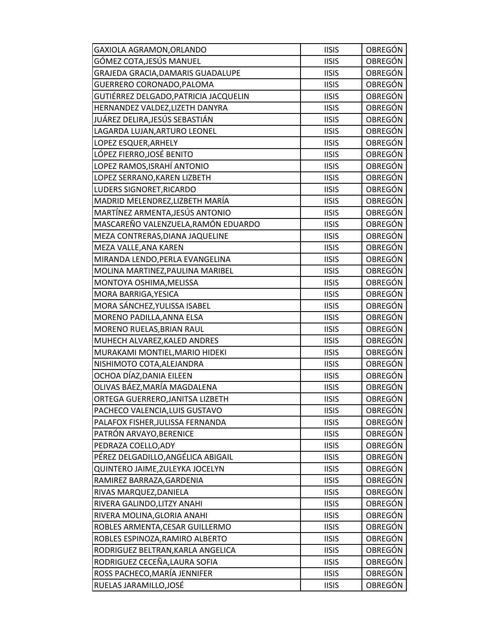| GAXIOLA AGRAMON, ORLANDO             | <b>IISIS</b> | <b>OBREGÓN</b> |
|--------------------------------------|--------------|----------------|
| GÓMEZ COTA,JESÚS MANUEL              | <b>IISIS</b> | <b>OBREGÓN</b> |
| GRAJEDA GRACIA, DAMARIS GUADALUPE    | <b>IISIS</b> | OBREGÓN        |
| GUERRERO CORONADO, PALOMA            | <b>IISIS</b> | <b>OBREGÓN</b> |
| GUTIÉRREZ DELGADO,PATRICIA JACQUELIN | <b>IISIS</b> | <b>OBREGÓN</b> |
| HERNANDEZ VALDEZ, LIZETH DANYRA      | <b>IISIS</b> | OBREGÓN        |
| JUÁREZ DELIRA,JESÚS SEBASTIÁN        | <b>IISIS</b> | <b>OBREGÓN</b> |
| LAGARDA LUJAN, ARTURO LEONEL         | <b>IISIS</b> | <b>OBREGÓN</b> |
| LOPEZ ESQUER, ARHELY                 | <b>IISIS</b> | <b>OBREGÓN</b> |
| LÓPEZ FIERRO,JOSÉ BENITO             | <b>IISIS</b> | OBREGÓN        |
| LOPEZ RAMOS,ISRAHÍ ANTONIO           | <b>IISIS</b> | <b>OBREGÓN</b> |
| LOPEZ SERRANO, KAREN LIZBETH         | <b>IISIS</b> | OBREGÓN        |
| LUDERS SIGNORET, RICARDO             | <b>IISIS</b> | <b>OBREGÓN</b> |
| MADRID MELENDREZ, LIZBETH MARÍA      | <b>IISIS</b> | <b>OBREGÓN</b> |
| MARTÍNEZ ARMENTA, JESÚS ANTONIO      | <b>IISIS</b> | <b>OBREGÓN</b> |
| MASCAREÑO VALENZUELA, RAMÓN EDUARDO  | <b>IISIS</b> | <b>OBREGÓN</b> |
| MEZA CONTRERAS, DIANA JAQUELINE      | <b>IISIS</b> | OBREGÓN        |
| MEZA VALLE, ANA KAREN                | <b>IISIS</b> | <b>OBREGÓN</b> |
| MIRANDA LENDO, PERLA EVANGELINA      | <b>IISIS</b> | <b>OBREGÓN</b> |
| MOLINA MARTINEZ, PAULINA MARIBEL     | <b>IISIS</b> | <b>OBREGÓN</b> |
| MONTOYA OSHIMA, MELISSA              | <b>IISIS</b> | <b>OBREGÓN</b> |
| MORA BARRIGA, YESICA                 | <b>IISIS</b> | OBREGÓN        |
| MORA SÁNCHEZ, YULISSA ISABEL         | <b>IISIS</b> | OBREGÓN        |
| MORENO PADILLA, ANNA ELSA            | <b>IISIS</b> | <b>OBREGÓN</b> |
| MORENO RUELAS, BRIAN RAUL            | <b>IISIS</b> | <b>OBREGÓN</b> |
| MUHECH ALVAREZ, KALED ANDRES         | <b>IISIS</b> | <b>OBREGÓN</b> |
| MURAKAMI MONTIEL, MARIO HIDEKI       | <b>IISIS</b> | <b>OBREGÓN</b> |
| NISHIMOTO COTA, ALEJANDRA            | <b>IISIS</b> | OBREGÓN        |
| OCHOA DÍAZ,DANIA EILEEN              | <b>IISIS</b> | OBREGÓN        |
| OLIVAS BÁEZ, MARÍA MAGDALENA         | <b>IISIS</b> | <b>OBREGÓN</b> |
| ORTEGA GUERRERO, JANITSA LIZBETH     | <b>IISIS</b> | <b>OBREGÓN</b> |
| PACHECO VALENCIA, LUIS GUSTAVO       | <b>IISIS</b> | OBREGÓN        |
| PALAFOX FISHER, JULISSA FERNANDA     | <b>IISIS</b> | <b>OBREGÓN</b> |
| PATRÓN ARVAYO, BERENICE              | <b>IISIS</b> | OBREGÓN        |
| PEDRAZA COELLO, ADY                  | <b>IISIS</b> | <b>OBREGÓN</b> |
| PÉREZ DELGADILLO,ANGÉLICA ABIGAIL    | <b>IISIS</b> | OBREGÓN        |
| QUINTERO JAIME, ZULEYKA JOCELYN      | <b>IISIS</b> | OBREGÓN        |
| RAMIREZ BARRAZA, GARDENIA            | <b>IISIS</b> | <b>OBREGÓN</b> |
| RIVAS MARQUEZ, DANIELA               | <b>IISIS</b> | <b>OBREGÓN</b> |
| RIVERA GALINDO, LITZY ANAHI          | <b>IISIS</b> | <b>OBREGÓN</b> |
| RIVERA MOLINA, GLORIA ANAHI          | <b>IISIS</b> | OBREGÓN        |
| ROBLES ARMENTA, CESAR GUILLERMO      | <b>IISIS</b> | OBREGÓN        |
| ROBLES ESPINOZA, RAMIRO ALBERTO      | <b>IISIS</b> | OBREGÓN        |
| RODRIGUEZ BELTRAN, KARLA ANGELICA    | <b>IISIS</b> | OBREGÓN        |
| RODRIGUEZ CECEÑA, LAURA SOFIA        | <b>IISIS</b> | <b>OBREGÓN</b> |
| ROSS PACHECO,MARÍA JENNIFER          | <b>IISIS</b> | <b>OBREGÓN</b> |
| RUELAS JARAMILLO, JOSÉ               | <b>IISIS</b> | OBREGÓN        |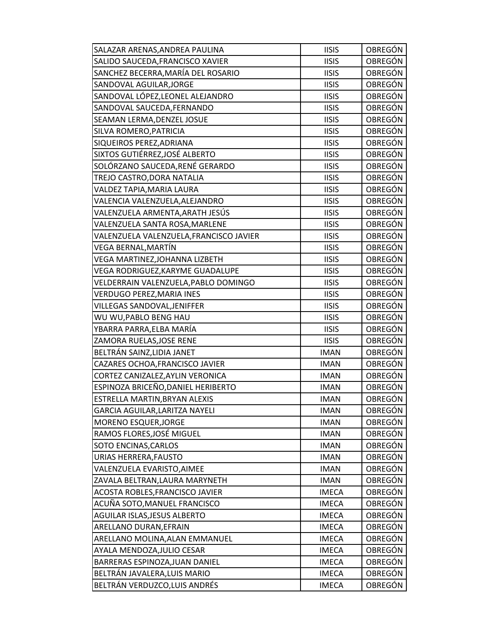| SALAZAR ARENAS, ANDREA PAULINA          | <b>IISIS</b> | OBREGÓN        |
|-----------------------------------------|--------------|----------------|
| SALIDO SAUCEDA, FRANCISCO XAVIER        | <b>IISIS</b> | <b>OBREGÓN</b> |
| SANCHEZ BECERRA, MARÍA DEL ROSARIO      | <b>IISIS</b> | OBREGÓN        |
| SANDOVAL AGUILAR, JORGE                 | <b>IISIS</b> | <b>OBREGÓN</b> |
| SANDOVAL LÓPEZ, LEONEL ALEJANDRO        | <b>IISIS</b> | OBREGÓN        |
| SANDOVAL SAUCEDA, FERNANDO              | <b>IISIS</b> | <b>OBREGÓN</b> |
| SEAMAN LERMA, DENZEL JOSUE              | <b>IISIS</b> | <b>OBREGÓN</b> |
| SILVA ROMERO, PATRICIA                  | <b>IISIS</b> | <b>OBREGÓN</b> |
| SIQUEIROS PEREZ, ADRIANA                | <b>IISIS</b> | <b>OBREGÓN</b> |
| SIXTOS GUTIÉRREZ, JOSÉ ALBERTO          | <b>IISIS</b> | <b>OBREGÓN</b> |
| SOLÓRZANO SAUCEDA, RENÉ GERARDO         | <b>IISIS</b> | OBREGÓN        |
| TREJO CASTRO, DORA NATALIA              | <b>IISIS</b> | <b>OBREGÓN</b> |
| VALDEZ TAPIA, MARIA LAURA               | <b>IISIS</b> | <b>OBREGÓN</b> |
| VALENCIA VALENZUELA, ALEJANDRO          | <b>IISIS</b> | <b>OBREGÓN</b> |
| VALENZUELA ARMENTA,ARATH JESÚS          | <b>IISIS</b> | <b>OBREGÓN</b> |
| VALENZUELA SANTA ROSA, MARLENE          | <b>IISIS</b> | OBREGÓN        |
| VALENZUELA VALENZUELA, FRANCISCO JAVIER | <b>IISIS</b> | <b>OBREGÓN</b> |
| VEGA BERNAL, MARTÍN                     | <b>IISIS</b> | <b>OBREGÓN</b> |
| VEGA MARTINEZ, JOHANNA LIZBETH          | <b>IISIS</b> | OBREGÓN        |
| VEGA RODRIGUEZ, KARYME GUADALUPE        | <b>IISIS</b> | <b>OBREGÓN</b> |
| VELDERRAIN VALENZUELA, PABLO DOMINGO    | <b>IISIS</b> | OBREGÓN        |
| VERDUGO PEREZ, MARIA INES               | <b>IISIS</b> | OBREGÓN        |
| VILLEGAS SANDOVAL, JENIFFER             | <b>IISIS</b> | <b>OBREGÓN</b> |
| WU WU, PABLO BENG HAU                   | <b>IISIS</b> | OBREGÓN        |
| YBARRA PARRA,ELBA MARÍA                 | <b>IISIS</b> | <b>OBREGÓN</b> |
| ZAMORA RUELAS, JOSE RENE                | <b>IISIS</b> | <b>OBREGÓN</b> |
| BELTRÁN SAINZ, LIDIA JANET              | <b>IMAN</b>  | <b>OBREGÓN</b> |
| CAZARES OCHOA, FRANCISCO JAVIER         | <b>IMAN</b>  | <b>OBREGÓN</b> |
| CORTEZ CANIZALEZ, AYLIN VERONICA        | <b>IMAN</b>  | <b>OBREGÓN</b> |
| ESPINOZA BRICEÑO, DANIEL HERIBERTO      | <b>IMAN</b>  | OBREGÓN        |
| ESTRELLA MARTIN, BRYAN ALEXIS           | <b>IMAN</b>  | <b>OBREGÓN</b> |
| GARCIA AGUILAR, LARITZA NAYELI          | <b>IMAN</b>  | OBREGÓN        |
| MORENO ESQUER, JORGE                    | <b>IMAN</b>  | <b>OBREGÓN</b> |
| RAMOS FLORES, JOSÉ MIGUEL               | <b>IMAN</b>  | OBREGÓN        |
| SOTO ENCINAS, CARLOS                    | <b>IMAN</b>  | OBREGÓN        |
| URIAS HERRERA, FAUSTO                   | <b>IMAN</b>  | OBREGÓN        |
| VALENZUELA EVARISTO, AIMEE              | <b>IMAN</b>  | OBREGÓN        |
| ZAVALA BELTRAN, LAURA MARYNETH          | <b>IMAN</b>  | OBREGÓN        |
| ACOSTA ROBLES, FRANCISCO JAVIER         | <b>IMECA</b> | OBREGÓN        |
| ACUÑA SOTO, MANUEL FRANCISCO            | <b>IMECA</b> | OBREGÓN        |
| AGUILAR ISLAS, JESUS ALBERTO            | <b>IMECA</b> | OBREGÓN        |
| ARELLANO DURAN, EFRAIN                  | <b>IMECA</b> | OBREGÓN        |
| ARELLANO MOLINA, ALAN EMMANUEL          | <b>IMECA</b> | OBREGÓN        |
| AYALA MENDOZA, JULIO CESAR              | <b>IMECA</b> | OBREGÓN        |
| BARRERAS ESPINOZA, JUAN DANIEL          | <b>IMECA</b> | <b>OBREGÓN</b> |
| BELTRÁN JAVALERA, LUIS MARIO            | <b>IMECA</b> | OBREGÓN        |
| BELTRÁN VERDUZCO, LUIS ANDRÉS           | <b>IMECA</b> | OBREGÓN        |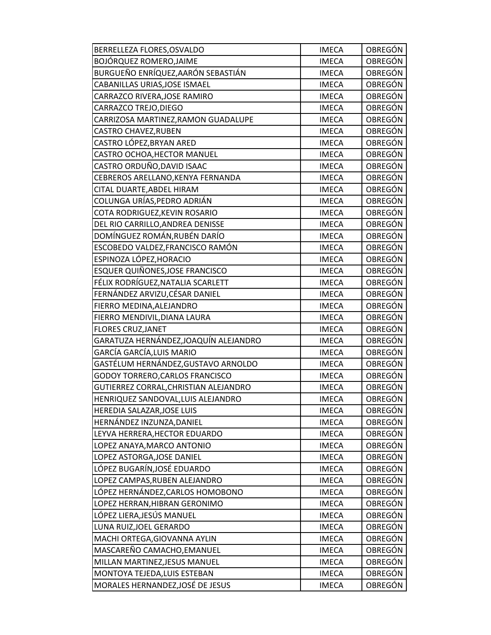| BERRELLEZA FLORES, OSVALDO             | <b>IMECA</b> | OBREGÓN        |
|----------------------------------------|--------------|----------------|
| BOJÓRQUEZ ROMERO, JAIME                | <b>IMECA</b> | <b>OBREGÓN</b> |
| BURGUEÑO ENRÍQUEZ, AARÓN SEBASTIÁN     | <b>IMECA</b> | OBREGÓN        |
| CABANILLAS URIAS, JOSE ISMAEL          | <b>IMECA</b> | <b>OBREGÓN</b> |
| CARRAZCO RIVERA, JOSE RAMIRO           | <b>IMECA</b> | OBREGÓN        |
| CARRAZCO TREJO, DIEGO                  | <b>IMECA</b> | OBREGÓN        |
| CARRIZOSA MARTINEZ, RAMON GUADALUPE    | <b>IMECA</b> | OBREGÓN        |
| <b>CASTRO CHAVEZ, RUBEN</b>            | <b>IMECA</b> | OBREGÓN        |
| CASTRO LÓPEZ,BRYAN ARED                | <b>IMECA</b> | OBREGÓN        |
| CASTRO OCHOA, HECTOR MANUEL            | <b>IMECA</b> | OBREGÓN        |
| CASTRO ORDUÑO, DAVID ISAAC             | <b>IMECA</b> | OBREGÓN        |
| CEBREROS ARELLANO, KENYA FERNANDA      | <b>IMECA</b> | OBREGÓN        |
| CITAL DUARTE, ABDEL HIRAM              | <b>IMECA</b> | <b>OBREGÓN</b> |
| COLUNGA URÍAS, PEDRO ADRIÁN            | <b>IMECA</b> | OBREGÓN        |
| COTA RODRIGUEZ, KEVIN ROSARIO          | <b>IMECA</b> | OBREGÓN        |
| DEL RIO CARRILLO, ANDREA DENISSE       | <b>IMECA</b> | OBREGÓN        |
| DOMÍNGUEZ ROMÁN,RUBÉN DARÍO            | <b>IMECA</b> | OBREGÓN        |
| ESCOBEDO VALDEZ, FRANCISCO RAMÓN       | <b>IMECA</b> | <b>OBREGÓN</b> |
| ESPINOZA LÓPEZ, HORACIO                | <b>IMECA</b> | <b>OBREGÓN</b> |
| <b>ESQUER QUIÑONES, JOSE FRANCISCO</b> | <b>IMECA</b> | <b>OBREGÓN</b> |
| FÉLIX RODRÍGUEZ, NATALIA SCARLETT      | <b>IMECA</b> | OBREGÓN        |
| FERNÁNDEZ ARVIZU, CÉSAR DANIEL         | <b>IMECA</b> | OBREGÓN        |
| FIERRO MEDINA, ALEJANDRO               | <b>IMECA</b> | OBREGÓN        |
| FIERRO MENDIVIL, DIANA LAURA           | <b>IMECA</b> | OBREGÓN        |
| <b>FLORES CRUZ, JANET</b>              | <b>IMECA</b> | OBREGÓN        |
| GARATUZA HERNÁNDEZ,JOAQUÍN ALEJANDRO   | <b>IMECA</b> | <b>OBREGÓN</b> |
| GARCÍA GARCÍA, LUIS MARIO              | <b>IMECA</b> | OBREGÓN        |
| GASTÉLUM HERNÁNDEZ,GUSTAVO ARNOLDO     | <b>IMECA</b> | OBREGÓN        |
| GODOY TORRERO, CARLOS FRANCISCO        | <b>IMECA</b> | OBREGÓN        |
| GUTIERREZ CORRAL, CHRISTIAN ALEJANDRO  | <b>IMECA</b> | OBREGÓN        |
| HENRIQUEZ SANDOVAL, LUIS ALEJANDRO     | <b>IMECA</b> | <b>OBREGÓN</b> |
| HEREDIA SALAZAR, JOSE LUIS             | <b>IMECA</b> | OBREGÓN        |
| HERNÁNDEZ INZUNZA, DANIEL              | <b>IMECA</b> | <b>OBREGÓN</b> |
| LEYVA HERRERA, HECTOR EDUARDO          | <b>IMECA</b> | OBREGÓN        |
| LOPEZ ANAYA, MARCO ANTONIO             | <b>IMECA</b> | OBREGÓN        |
| LOPEZ ASTORGA, JOSE DANIEL             | <b>IMECA</b> | OBREGÓN        |
| LÓPEZ BUGARÍN, JOSÉ EDUARDO            | <b>IMECA</b> | OBREGÓN        |
| LOPEZ CAMPAS, RUBEN ALEJANDRO          | <b>IMECA</b> | OBREGÓN        |
| LÓPEZ HERNÁNDEZ, CARLOS HOMOBONO       | <b>IMECA</b> | OBREGÓN        |
| LOPEZ HERRAN, HIBRAN GERONIMO          | <b>IMECA</b> | OBREGÓN        |
| LÓPEZ LIERA, JESÚS MANUEL              | <b>IMECA</b> | OBREGÓN        |
| LUNA RUIZ, JOEL GERARDO                | <b>IMECA</b> | OBREGÓN        |
| MACHI ORTEGA, GIOVANNA AYLIN           | <b>IMECA</b> | OBREGÓN        |
| MASCAREÑO CAMACHO, EMANUEL             | <b>IMECA</b> | OBREGÓN        |
| MILLAN MARTINEZ, JESUS MANUEL          | <b>IMECA</b> | <b>OBREGÓN</b> |
| MONTOYA TEJEDA, LUIS ESTEBAN           | <b>IMECA</b> | OBREGÓN        |
| MORALES HERNANDEZ, JOSÉ DE JESUS       | <b>IMECA</b> | OBREGÓN        |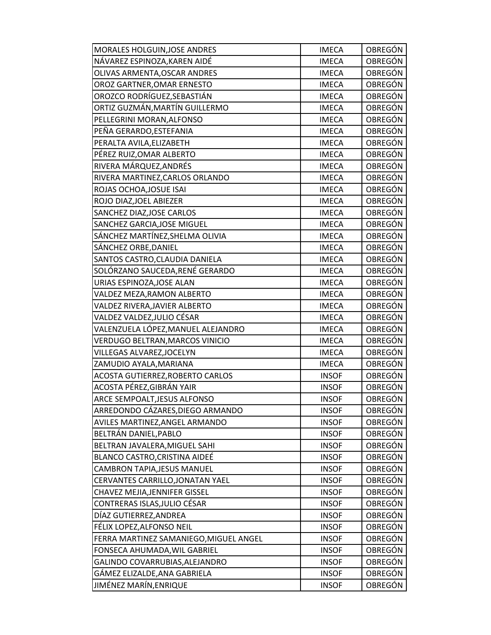| MORALES HOLGUIN, JOSE ANDRES           | <b>IMECA</b> | OBREGÓN        |
|----------------------------------------|--------------|----------------|
| NÁVAREZ ESPINOZA, KAREN AIDÉ           | <b>IMECA</b> | OBREGÓN        |
| OLIVAS ARMENTA, OSCAR ANDRES           | <b>IMECA</b> | OBREGÓN        |
| OROZ GARTNER, OMAR ERNESTO             | <b>IMECA</b> | <b>OBREGÓN</b> |
| OROZCO RODRÍGUEZ, SEBASTIÁN            | <b>IMECA</b> | OBREGÓN        |
| ORTIZ GUZMÁN, MARTÍN GUILLERMO         | <b>IMECA</b> | <b>OBREGÓN</b> |
| PELLEGRINI MORAN, ALFONSO              | <b>IMECA</b> | <b>OBREGÓN</b> |
| PEÑA GERARDO, ESTEFANIA                | <b>IMECA</b> | OBREGÓN        |
| PERALTA AVILA, ELIZABETH               | <b>IMECA</b> | <b>OBREGÓN</b> |
| PÉREZ RUIZ, OMAR ALBERTO               | <b>IMECA</b> | OBREGÓN        |
| RIVERA MÁRQUEZ, ANDRÉS                 | <b>IMECA</b> | OBREGÓN        |
| RIVERA MARTINEZ, CARLOS ORLANDO        | <b>IMECA</b> | <b>OBREGÓN</b> |
| ROJAS OCHOA, JOSUE ISAI                | <b>IMECA</b> | OBREGÓN        |
| ROJO DIAZ, JOEL ABIEZER                | <b>IMECA</b> | <b>OBREGÓN</b> |
| SANCHEZ DIAZ, JOSE CARLOS              | <b>IMECA</b> | <b>OBREGÓN</b> |
| SANCHEZ GARCIA, JOSE MIGUEL            | <b>IMECA</b> | OBREGÓN        |
| SÁNCHEZ MARTÍNEZ, SHELMA OLIVIA        | <b>IMECA</b> | OBREGÓN        |
| SÁNCHEZ ORBE, DANIEL                   | <b>IMECA</b> | <b>OBREGÓN</b> |
| SANTOS CASTRO, CLAUDIA DANIELA         | <b>IMECA</b> | <b>OBREGÓN</b> |
| SOLÓRZANO SAUCEDA, RENÉ GERARDO        | <b>IMECA</b> | OBREGÓN        |
| URIAS ESPINOZA, JOSE ALAN              | <b>IMECA</b> | OBREGÓN        |
| VALDEZ MEZA, RAMON ALBERTO             | <b>IMECA</b> | OBREGÓN        |
| VALDEZ RIVERA, JAVIER ALBERTO          | <b>IMECA</b> | <b>OBREGÓN</b> |
| VALDEZ VALDEZ, JULIO CÉSAR             | <b>IMECA</b> | <b>OBREGÓN</b> |
| VALENZUELA LÓPEZ, MANUEL ALEJANDRO     | <b>IMECA</b> | <b>OBREGÓN</b> |
| VERDUGO BELTRAN, MARCOS VINICIO        | <b>IMECA</b> | <b>OBREGÓN</b> |
| VILLEGAS ALVAREZ, JOCELYN              | <b>IMECA</b> | OBREGÓN        |
| ZAMUDIO AYALA, MARIANA                 | <b>IMECA</b> | <b>OBREGÓN</b> |
| ACOSTA GUTIERREZ, ROBERTO CARLOS       | <b>INSOF</b> | OBREGÓN        |
| ACOSTA PÉREZ, GIBRÁN YAIR              | <b>INSOF</b> | OBREGÓN        |
| ARCE SEMPOALT, JESUS ALFONSO           | <b>INSOF</b> | <b>OBREGÓN</b> |
| ARREDONDO CÁZARES, DIEGO ARMANDO       | <b>INSOF</b> | OBREGÓN        |
| AVILES MARTINEZ, ANGEL ARMANDO         | <b>INSOF</b> | OBREGÓN        |
| BELTRÁN DANIEL, PABLO                  | <b>INSOF</b> | OBREGÓN        |
| BELTRAN JAVALERA, MIGUEL SAHI          | <b>INSOF</b> | OBREGÓN        |
| BLANCO CASTRO, CRISTINA AIDEÉ          | <b>INSOF</b> | OBREGÓN        |
| <b>CAMBRON TAPIA, JESUS MANUEL</b>     | <b>INSOF</b> | OBREGÓN        |
| CERVANTES CARRILLO, JONATAN YAEL       | <b>INSOF</b> | OBREGÓN        |
| CHAVEZ MEJIA, JENNIFER GISSEL          | <b>INSOF</b> | OBREGÓN        |
| CONTRERAS ISLAS, JULIO CÉSAR           | <b>INSOF</b> | OBREGÓN        |
| DÍAZ GUTIERREZ, ANDREA                 | <b>INSOF</b> | OBREGÓN        |
| FÉLIX LOPEZ, ALFONSO NEIL              | <b>INSOF</b> | OBREGÓN        |
| FERRA MARTINEZ SAMANIEGO, MIGUEL ANGEL | <b>INSOF</b> | OBREGÓN        |
| FONSECA AHUMADA, WIL GABRIEL           | <b>INSOF</b> | OBREGÓN        |
| GALINDO COVARRUBIAS, ALEJANDRO         | <b>INSOF</b> | <b>OBREGÓN</b> |
| GÁMEZ ELIZALDE, ANA GABRIELA           | <b>INSOF</b> | OBREGÓN        |
| JIMÉNEZ MARÍN,ENRIQUE                  | <b>INSOF</b> | OBREGÓN        |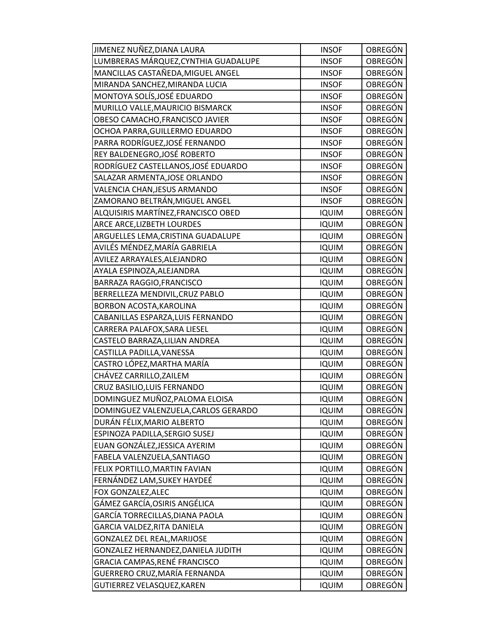| JIMENEZ NUÑEZ, DIANA LAURA           | <b>INSOF</b> | OBREGÓN        |
|--------------------------------------|--------------|----------------|
| LUMBRERAS MÁRQUEZ, CYNTHIA GUADALUPE | <b>INSOF</b> | <b>OBREGÓN</b> |
| MANCILLAS CASTAÑEDA, MIGUEL ANGEL    | <b>INSOF</b> | OBREGÓN        |
| MIRANDA SANCHEZ, MIRANDA LUCIA       | <b>INSOF</b> | OBREGÓN        |
| MONTOYA SOLÍS, JOSÉ EDUARDO          | <b>INSOF</b> | OBREGÓN        |
| MURILLO VALLE, MAURICIO BISMARCK     | <b>INSOF</b> | OBREGÓN        |
| OBESO CAMACHO, FRANCISCO JAVIER      | <b>INSOF</b> | <b>OBREGÓN</b> |
| OCHOA PARRA, GUILLERMO EDUARDO       | <b>INSOF</b> | OBREGÓN        |
| PARRA RODRÍGUEZ, JOSÉ FERNANDO       | <b>INSOF</b> | <b>OBREGÓN</b> |
| REY BALDENEGRO,JOSÉ ROBERTO          | <b>INSOF</b> | OBREGÓN        |
| RODRÍGUEZ CASTELLANOS, JOSÉ EDUARDO  | <b>INSOF</b> | OBREGÓN        |
| SALAZAR ARMENTA, JOSE ORLANDO        | <b>INSOF</b> | OBREGÓN        |
| VALENCIA CHAN, JESUS ARMANDO         | <b>INSOF</b> | OBREGÓN        |
| ZAMORANO BELTRÁN, MIGUEL ANGEL       | <b>INSOF</b> | <b>OBREGÓN</b> |
| ALQUISIRIS MARTÍNEZ,FRANCISCO OBED   | <b>IQUIM</b> | OBREGÓN        |
| ARCE ARCE, LIZBETH LOURDES           | <b>IQUIM</b> | <b>OBREGÓN</b> |
| ARGUELLES LEMA, CRISTINA GUADALUPE   | <b>IQUIM</b> | OBREGÓN        |
| AVILÉS MÉNDEZ, MARÍA GABRIELA        | <b>IQUIM</b> | <b>OBREGÓN</b> |
| AVILEZ ARRAYALES, ALEJANDRO          | <b>IQUIM</b> | OBREGÓN        |
| AYALA ESPINOZA, ALEJANDRA            | <b>IQUIM</b> | OBREGÓN        |
| BARRAZA RAGGIO, FRANCISCO            | <b>IQUIM</b> | OBREGÓN        |
| BERRELLEZA MENDIVIL, CRUZ PABLO      | <b>IQUIM</b> | OBREGÓN        |
| BORBON ACOSTA, KAROLINA              | <b>IQUIM</b> | <b>OBREGÓN</b> |
| CABANILLAS ESPARZA, LUIS FERNANDO    | <b>IQUIM</b> | OBREGÓN        |
| CARRERA PALAFOX, SARA LIESEL         | <b>IQUIM</b> | OBREGÓN        |
| CASTELO BARRAZA, LILIAN ANDREA       | <b>IQUIM</b> | <b>OBREGÓN</b> |
| CASTILLA PADILLA, VANESSA            | <b>IQUIM</b> | <b>OBREGÓN</b> |
| CASTRO LÓPEZ, MARTHA MARÍA           | <b>IQUIM</b> | <b>OBREGÓN</b> |
| CHÁVEZ CARRILLO, ZAILEM              | <b>IQUIM</b> | OBREGÓN        |
| CRUZ BASILIO, LUIS FERNANDO          | <b>IQUIM</b> | OBREGÓN        |
| DOMINGUEZ MUÑOZ, PALOMA ELOISA       | <b>IQUIM</b> | OBREGÓN        |
| DOMINGUEZ VALENZUELA, CARLOS GERARDO | <b>IQUIM</b> | OBREGÓN        |
| DURÁN FÉLIX, MARIO ALBERTO           | <b>IQUIM</b> | <b>OBREGÓN</b> |
| ESPINOZA PADILLA, SERGIO SUSEJ       | <b>IQUIM</b> | OBREGÓN        |
| EUAN GONZÁLEZ, JESSICA AYERIM        | <b>IQUIM</b> | OBREGÓN        |
| FABELA VALENZUELA, SANTIAGO          | <b>IQUIM</b> | <b>OBREGÓN</b> |
| FELIX PORTILLO, MARTIN FAVIAN        | <b>IQUIM</b> | <b>OBREGÓN</b> |
| FERNÁNDEZ LAM, SUKEY HAYDEÉ          | <b>IQUIM</b> | OBREGÓN        |
| FOX GONZALEZ, ALEC                   | <b>IQUIM</b> | OBREGÓN        |
| GÁMEZ GARCÍA,OSIRIS ANGÉLICA         | <b>IQUIM</b> | <b>OBREGÓN</b> |
| GARCÍA TORRECILLAS, DIANA PAOLA      | <b>IQUIM</b> | OBREGÓN        |
| GARCIA VALDEZ, RITA DANIELA          | <b>IQUIM</b> | OBREGÓN        |
| GONZALEZ DEL REAL, MARIJOSE          | <b>IQUIM</b> | OBREGÓN        |
| GONZALEZ HERNANDEZ, DANIELA JUDITH   | <b>IQUIM</b> | OBREGÓN        |
| GRACIA CAMPAS, RENÉ FRANCISCO        | <b>IQUIM</b> | OBREGÓN        |
| GUERRERO CRUZ,MARÍA FERNANDA         | <b>IQUIM</b> | OBREGÓN        |
| GUTIERREZ VELASQUEZ, KAREN           | <b>IQUIM</b> | <b>OBREGÓN</b> |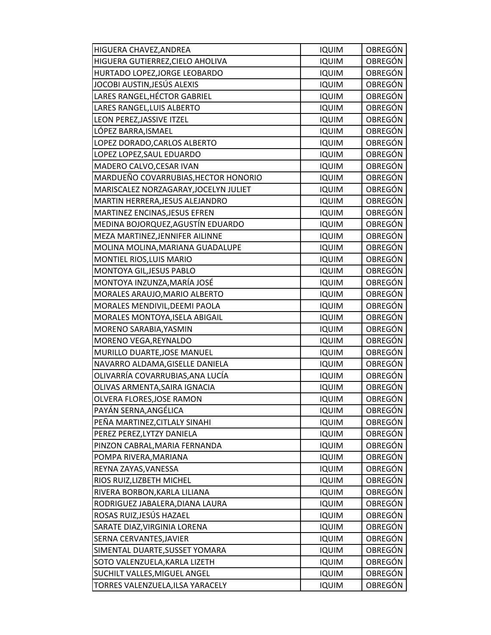| HIGUERA CHAVEZ, ANDREA                | <b>IQUIM</b> | OBREGÓN        |
|---------------------------------------|--------------|----------------|
| HIGUERA GUTIERREZ, CIELO AHOLIVA      | <b>IQUIM</b> | OBREGÓN        |
| HURTADO LOPEZ, JORGE LEOBARDO         | <b>IQUIM</b> | OBREGÓN        |
| JOCOBI AUSTIN,JESÚS ALEXIS            | <b>IQUIM</b> | OBREGÓN        |
| LARES RANGEL, HÉCTOR GABRIEL          | <b>IQUIM</b> | OBREGÓN        |
| LARES RANGEL, LUIS ALBERTO            | <b>IQUIM</b> | OBREGÓN        |
| LEON PEREZ, JASSIVE ITZEL             | <b>IQUIM</b> | <b>OBREGÓN</b> |
| LÓPEZ BARRA, ISMAEL                   | <b>IQUIM</b> | OBREGÓN        |
| LOPEZ DORADO, CARLOS ALBERTO          | <b>IQUIM</b> | <b>OBREGÓN</b> |
| LOPEZ LOPEZ, SAUL EDUARDO             | <b>IQUIM</b> | OBREGÓN        |
| MADERO CALVO, CESAR IVAN              | <b>IQUIM</b> | OBREGÓN        |
| MARDUEÑO COVARRUBIAS, HECTOR HONORIO  | <b>IQUIM</b> | OBREGÓN        |
| MARISCALEZ NORZAGARAY, JOCELYN JULIET | <b>IQUIM</b> | OBREGÓN        |
| MARTIN HERRERA, JESUS ALEJANDRO       | <b>IQUIM</b> | <b>OBREGÓN</b> |
| MARTINEZ ENCINAS, JESUS EFREN         | <b>IQUIM</b> | OBREGÓN        |
| MEDINA BOJORQUEZ, AGUSTÍN EDUARDO     | <b>IQUIM</b> | OBREGÓN        |
| MEZA MARTINEZ, JENNIFER AILINNE       | <b>IQUIM</b> | <b>OBREGÓN</b> |
| MOLINA MOLINA, MARIANA GUADALUPE      | <b>IQUIM</b> | OBREGÓN        |
| MONTIEL RIOS, LUIS MARIO              | <b>IQUIM</b> | OBREGÓN        |
| MONTOYA GIL, JESUS PABLO              | <b>IQUIM</b> | OBREGÓN        |
| MONTOYA INZUNZA, MARÍA JOSÉ           | <b>IQUIM</b> | <b>OBREGÓN</b> |
| MORALES ARAUJO, MARIO ALBERTO         | <b>IQUIM</b> | OBREGÓN        |
| MORALES MENDIVIL, DEEMI PAOLA         | <b>IQUIM</b> | OBREGÓN        |
| MORALES MONTOYA, ISELA ABIGAIL        | <b>IQUIM</b> | OBREGÓN        |
| MORENO SARABIA, YASMIN                | <b>IQUIM</b> | OBREGÓN        |
| MORENO VEGA, REYNALDO                 | <b>IQUIM</b> | <b>OBREGÓN</b> |
| MURILLO DUARTE, JOSE MANUEL           | <b>IQUIM</b> | <b>OBREGÓN</b> |
| NAVARRO ALDAMA, GISELLE DANIELA       | <b>IQUIM</b> | <b>OBREGÓN</b> |
| OLIVARRÍA COVARRUBIAS,ANA LUCÍA       | <b>IQUIM</b> | OBREGÓN        |
| OLIVAS ARMENTA, SAIRA IGNACIA         | <b>IQUIM</b> | OBREGÓN        |
| OLVERA FLORES, JOSE RAMON             | <b>IQUIM</b> | <b>OBREGÓN</b> |
| PAYÁN SERNA, ANGÉLICA                 | <b>IQUIM</b> | OBREGÓN        |
| PEÑA MARTINEZ, CITLALY SINAHI         | <b>IQUIM</b> | OBREGÓN        |
| PEREZ PEREZ, LYTZY DANIELA            | <b>IQUIM</b> | OBREGÓN        |
| PINZON CABRAL, MARIA FERNANDA         | <b>IQUIM</b> | OBREGÓN        |
| POMPA RIVERA, MARIANA                 | <b>IQUIM</b> | OBREGÓN        |
| REYNA ZAYAS, VANESSA                  | <b>IQUIM</b> | OBREGÓN        |
| RIOS RUIZ, LIZBETH MICHEL             | <b>IQUIM</b> | OBREGÓN        |
| RIVERA BORBON, KARLA LILIANA          | <b>IQUIM</b> | OBREGÓN        |
| RODRIGUEZ JABALERA, DIANA LAURA       | <b>IQUIM</b> | OBREGÓN        |
| ROSAS RUIZ, JESÚS HAZAEL              | <b>IQUIM</b> | OBREGÓN        |
| SARATE DIAZ, VIRGINIA LORENA          | <b>IQUIM</b> | OBREGÓN        |
| SERNA CERVANTES, JAVIER               | <b>IQUIM</b> | OBREGÓN        |
| SIMENTAL DUARTE, SUSSET YOMARA        | <b>IQUIM</b> | OBREGÓN        |
| SOTO VALENZUELA, KARLA LIZETH         | <b>IQUIM</b> | OBREGÓN        |
| SUCHILT VALLES, MIGUEL ANGEL          | <b>IQUIM</b> | OBREGÓN        |
| TORRES VALENZUELA, ILSA YARACELY      | <b>IQUIM</b> | <b>OBREGÓN</b> |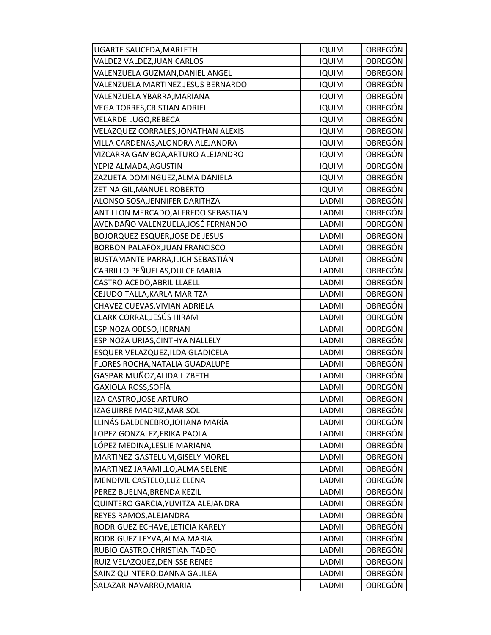| UGARTE SAUCEDA, MARLETH                | <b>IQUIM</b> | OBREGÓN        |
|----------------------------------------|--------------|----------------|
| VALDEZ VALDEZ, JUAN CARLOS             | <b>IQUIM</b> | OBREGÓN        |
| VALENZUELA GUZMAN, DANIEL ANGEL        | <b>IQUIM</b> | OBREGÓN        |
| VALENZUELA MARTINEZ, JESUS BERNARDO    | <b>IQUIM</b> | OBREGÓN        |
| VALENZUELA YBARRA, MARIANA             | <b>IQUIM</b> | OBREGÓN        |
| VEGA TORRES, CRISTIAN ADRIEL           | <b>IQUIM</b> | OBREGÓN        |
| VELARDE LUGO, REBECA                   | <b>IQUIM</b> | <b>OBREGÓN</b> |
| VELAZQUEZ CORRALES, JONATHAN ALEXIS    | <b>IQUIM</b> | <b>OBREGÓN</b> |
| VILLA CARDENAS, ALONDRA ALEJANDRA      | <b>IQUIM</b> | OBREGÓN        |
| VIZCARRA GAMBOA, ARTURO ALEJANDRO      | <b>IQUIM</b> | OBREGÓN        |
| YEPIZ ALMADA, AGUSTIN                  | <b>IQUIM</b> | OBREGÓN        |
| ZAZUETA DOMINGUEZ,ALMA DANIELA         | <b>IQUIM</b> | OBREGÓN        |
| ZETINA GIL, MANUEL ROBERTO             | <b>IQUIM</b> | OBREGÓN        |
| ALONSO SOSA, JENNIFER DARITHZA         | LADMI        | OBREGÓN        |
| ANTILLON MERCADO, ALFREDO SEBASTIAN    | LADMI        | OBREGÓN        |
| AVENDAÑO VALENZUELA,JOSÉ FERNANDO      | LADMI        | OBREGÓN        |
| <b>BOJORQUEZ ESQUER, JOSE DE JESUS</b> | LADMI        | OBREGÓN        |
| BORBON PALAFOX, JUAN FRANCISCO         | LADMI        | OBREGÓN        |
| BUSTAMANTE PARRA,ILICH SEBASTIÁN       | LADMI        | OBREGÓN        |
| CARRILLO PEÑUELAS, DULCE MARIA         | LADMI        | <b>OBREGÓN</b> |
| CASTRO ACEDO, ABRIL LLAELL             | LADMI        | OBREGÓN        |
| CEJUDO TALLA, KARLA MARITZA            | LADMI        | OBREGÓN        |
| CHAVEZ CUEVAS, VIVIAN ADRIELA          | LADMI        | OBREGÓN        |
| CLARK CORRAL,JESÚS HIRAM               | LADMI        | OBREGÓN        |
| ESPINOZA OBESO, HERNAN                 | LADMI        | OBREGÓN        |
| ESPINOZA URIAS, CINTHYA NALLELY        | LADMI        | OBREGÓN        |
| ESQUER VELAZQUEZ, ILDA GLADICELA       | LADMI        | OBREGÓN        |
| FLORES ROCHA, NATALIA GUADALUPE        | LADMI        | OBREGÓN        |
| GASPAR MUÑOZ,ALIDA LIZBETH             | LADMI        | OBREGÓN        |
| GAXIOLA ROSS, SOFÍA                    | LADMI        | OBREGÓN        |
| IZA CASTRO, JOSE ARTURO                | LADMI        | <b>OBREGÓN</b> |
| IZAGUIRRE MADRIZ, MARISOL              | LADMI        | OBREGÓN        |
| LLINÁS BALDENEBRO, JOHANA MARÍA        | LADMI        | <b>OBREGÓN</b> |
| LOPEZ GONZALEZ, ERIKA PAOLA            | LADMI        | OBREGÓN        |
| LÓPEZ MEDINA,LESLIE MARIANA            | LADMI        | <b>OBREGÓN</b> |
| MARTINEZ GASTELUM, GISELY MOREL        | LADMI        | OBREGÓN        |
| MARTINEZ JARAMILLO, ALMA SELENE        | LADMI        | OBREGÓN        |
| MENDIVIL CASTELO, LUZ ELENA            | LADMI        | OBREGÓN        |
| PEREZ BUELNA, BRENDA KEZIL             | LADMI        | OBREGÓN        |
| QUINTERO GARCIA, YUVITZA ALEJANDRA     | LADMI        | OBREGÓN        |
| REYES RAMOS, ALEJANDRA                 | LADMI        | OBREGÓN        |
| RODRIGUEZ ECHAVE, LETICIA KARELY       | LADMI        | <b>OBREGÓN</b> |
| RODRIGUEZ LEYVA, ALMA MARIA            | LADMI        | OBREGÓN        |
| RUBIO CASTRO, CHRISTIAN TADEO          | LADMI        | OBREGÓN        |
| RUIZ VELAZQUEZ, DENISSE RENEE          | LADMI        | OBREGÓN        |
| SAINZ QUINTERO, DANNA GALILEA          | LADMI        | OBREGÓN        |
| SALAZAR NAVARRO, MARIA                 | LADMI        | OBREGÓN        |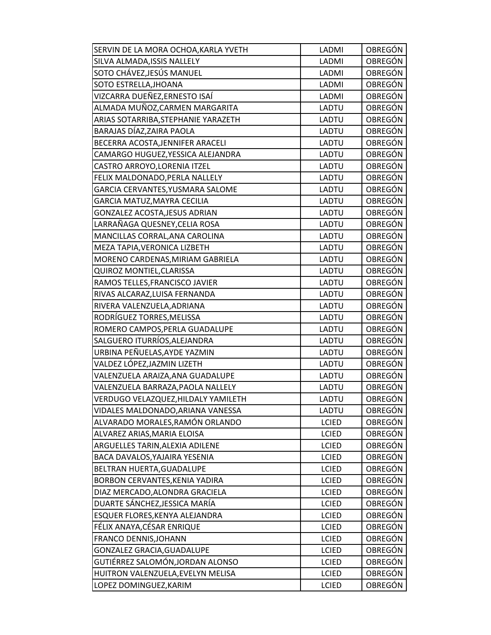| SERVIN DE LA MORA OCHOA, KARLA YVETH | LADMI        | OBREGÓN        |
|--------------------------------------|--------------|----------------|
| SILVA ALMADA, ISSIS NALLELY          | LADMI        | <b>OBREGÓN</b> |
| SOTO CHÁVEZ,JESÚS MANUEL             | LADMI        | OBREGÓN        |
| SOTO ESTRELLA, JHOANA                | LADMI        | <b>OBREGÓN</b> |
| VIZCARRA DUEÑEZ,ERNESTO ISAÍ         | LADMI        | OBREGÓN        |
| ALMADA MUÑOZ,CARMEN MARGARITA        | LADTU        | <b>OBREGÓN</b> |
| ARIAS SOTARRIBA, STEPHANIE YARAZETH  | LADTU        | <b>OBREGÓN</b> |
| BARAJAS DÍAZ, ZAIRA PAOLA            | LADTU        | <b>OBREGÓN</b> |
| BECERRA ACOSTA, JENNIFER ARACELI     | LADTU        | <b>OBREGÓN</b> |
| CAMARGO HUGUEZ, YESSICA ALEJANDRA    | LADTU        | OBREGÓN        |
| CASTRO ARROYO, LORENIA ITZEL         | LADTU        | OBREGÓN        |
| FELIX MALDONADO, PERLA NALLELY       | LADTU        | <b>OBREGÓN</b> |
| GARCIA CERVANTES, YUSMARA SALOME     | LADTU        | <b>OBREGÓN</b> |
| GARCIA MATUZ, MAYRA CECILIA          | LADTU        | <b>OBREGÓN</b> |
| GONZALEZ ACOSTA, JESUS ADRIAN        | LADTU        | <b>OBREGÓN</b> |
| LARRAÑAGA QUESNEY, CELIA ROSA        | LADTU        | OBREGÓN        |
| MANCILLAS CORRAL, ANA CAROLINA       | LADTU        | OBREGÓN        |
| MEZA TAPIA, VERONICA LIZBETH         | LADTU        | <b>OBREGÓN</b> |
| MORENO CARDENAS, MIRIAM GABRIELA     | LADTU        | <b>OBREGÓN</b> |
| QUIROZ MONTIEL, CLARISSA             | LADTU        | <b>OBREGÓN</b> |
| RAMOS TELLES, FRANCISCO JAVIER       | LADTU        | OBREGÓN        |
| RIVAS ALCARAZ, LUISA FERNANDA        | LADTU        | OBREGÓN        |
| RIVERA VALENZUELA, ADRIANA           | LADTU        | <b>OBREGÓN</b> |
| RODRÍGUEZ TORRES, MELISSA            | LADTU        | OBREGÓN        |
| ROMERO CAMPOS, PERLA GUADALUPE       | LADTU        | <b>OBREGÓN</b> |
| SALGUERO ITURRÍOS, ALEJANDRA         | LADTU        | <b>OBREGÓN</b> |
| URBINA PEÑUELAS, AYDE YAZMIN         | LADTU        | <b>OBREGÓN</b> |
| VALDEZ LÓPEZ, JAZMIN LIZETH          | LADTU        | OBREGÓN        |
| VALENZUELA ARAIZA, ANA GUADALUPE     | LADTU        | <b>OBREGÓN</b> |
| VALENZUELA BARRAZA, PAOLA NALLELY    | LADTU        | OBREGÓN        |
| VERDUGO VELAZQUEZ, HILDALY YAMILETH  | <b>LADTU</b> | <b>OBREGÓN</b> |
| VIDALES MALDONADO, ARIANA VANESSA    | LADTU        | <b>OBREGÓN</b> |
| ALVARADO MORALES,RAMÓN ORLANDO       | <b>LCIED</b> | <b>OBREGÓN</b> |
| ALVAREZ ARIAS, MARIA ELOISA          | <b>LCIED</b> | OBREGÓN        |
| ARGUELLES TARIN, ALEXIA ADILENE      | <b>LCIED</b> | OBREGÓN        |
| BACA DAVALOS, YAJAIRA YESENIA        | <b>LCIED</b> | OBREGÓN        |
| BELTRAN HUERTA, GUADALUPE            | <b>LCIED</b> | OBREGÓN        |
| BORBON CERVANTES, KENIA YADIRA       | <b>LCIED</b> | OBREGÓN        |
| DIAZ MERCADO, ALONDRA GRACIELA       | <b>LCIED</b> | OBREGÓN        |
| DUARTE SÁNCHEZ, JESSICA MARÍA        | <b>LCIED</b> | OBREGÓN        |
| ESQUER FLORES, KENYA ALEJANDRA       | <b>LCIED</b> | OBREGÓN        |
| FÉLIX ANAYA, CÉSAR ENRIQUE           | <b>LCIED</b> | <b>OBREGÓN</b> |
| FRANCO DENNIS, JOHANN                | <b>LCIED</b> | OBREGÓN        |
| GONZALEZ GRACIA, GUADALUPE           | <b>LCIED</b> | OBREGÓN        |
| GUTIÉRREZ SALOMÓN,JORDAN ALONSO      | <b>LCIED</b> | <b>OBREGÓN</b> |
| HUITRON VALENZUELA, EVELYN MELISA    | <b>LCIED</b> | OBREGÓN        |
| LOPEZ DOMINGUEZ, KARIM               | <b>LCIED</b> | <b>OBREGÓN</b> |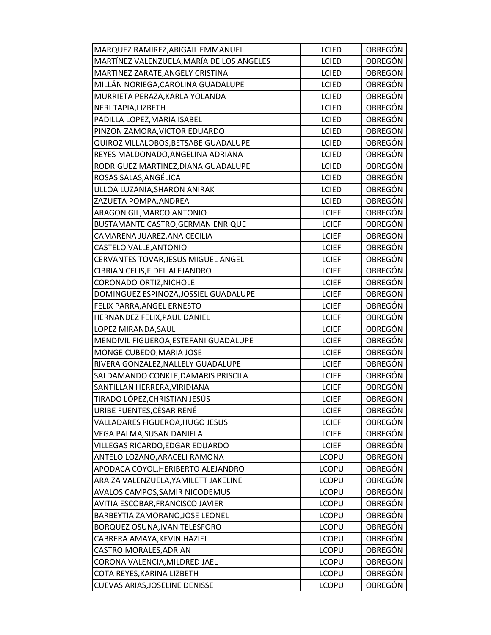| MARQUEZ RAMIREZ, ABIGAIL EMMANUEL         | <b>LCIED</b> | OBREGÓN        |
|-------------------------------------------|--------------|----------------|
| MARTÍNEZ VALENZUELA, MARÍA DE LOS ANGELES | <b>LCIED</b> | OBREGÓN        |
| MARTINEZ ZARATE, ANGELY CRISTINA          | <b>LCIED</b> | OBREGÓN        |
| MILLÁN NORIEGA, CAROLINA GUADALUPE        | <b>LCIED</b> | OBREGÓN        |
| MURRIETA PERAZA, KARLA YOLANDA            | <b>LCIED</b> | OBREGÓN        |
| NERI TAPIA, LIZBETH                       | <b>LCIED</b> | OBREGÓN        |
| PADILLA LOPEZ, MARIA ISABEL               | <b>LCIED</b> | OBREGÓN        |
| PINZON ZAMORA, VICTOR EDUARDO             | <b>LCIED</b> | OBREGÓN        |
| QUIROZ VILLALOBOS, BETSABE GUADALUPE      | <b>LCIED</b> | OBREGÓN        |
| REYES MALDONADO, ANGELINA ADRIANA         | <b>LCIED</b> | OBREGÓN        |
| RODRIGUEZ MARTINEZ, DIANA GUADALUPE       | <b>LCIED</b> | OBREGÓN        |
| ROSAS SALAS, ANGÉLICA                     | <b>LCIED</b> | OBREGÓN        |
| ULLOA LUZANIA, SHARON ANIRAK              | <b>LCIED</b> | OBREGÓN        |
| ZAZUETA POMPA, ANDREA                     | <b>LCIED</b> | <b>OBREGÓN</b> |
| ARAGON GIL, MARCO ANTONIO                 | <b>LCIEF</b> | OBREGÓN        |
| BUSTAMANTE CASTRO, GERMAN ENRIQUE         | <b>LCIEF</b> | OBREGÓN        |
| CAMARENA JUAREZ, ANA CECILIA              | <b>LCIEF</b> | OBREGÓN        |
| CASTELO VALLE, ANTONIO                    | <b>LCIEF</b> | OBREGÓN        |
| CERVANTES TOVAR, JESUS MIGUEL ANGEL       | <b>LCIEF</b> | <b>OBREGÓN</b> |
| CIBRIAN CELIS, FIDEL ALEJANDRO            | <b>LCIEF</b> | OBREGÓN        |
| CORONADO ORTIZ, NICHOLE                   | <b>LCIEF</b> | OBREGÓN        |
| DOMINGUEZ ESPINOZA, JOSSIEL GUADALUPE     | <b>LCIEF</b> | OBREGÓN        |
| FELIX PARRA, ANGEL ERNESTO                | <b>LCIEF</b> | OBREGÓN        |
| HERNANDEZ FELIX, PAUL DANIEL              | <b>LCIEF</b> | OBREGÓN        |
| LOPEZ MIRANDA, SAUL                       | <b>LCIEF</b> | OBREGÓN        |
| MENDIVIL FIGUEROA, ESTEFANI GUADALUPE     | <b>LCIEF</b> | OBREGÓN        |
| MONGE CUBEDO, MARIA JOSE                  | <b>LCIEF</b> | <b>OBREGÓN</b> |
| RIVERA GONZALEZ, NALLELY GUADALUPE        | <b>LCIEF</b> | OBREGÓN        |
| SALDAMANDO CONKLE, DAMARIS PRISCILA       | <b>LCIEF</b> | OBREGÓN        |
| SANTILLAN HERRERA, VIRIDIANA              | <b>LCIEF</b> | OBREGÓN        |
| TIRADO LÓPEZ, CHRISTIAN JESÚS             | <b>LCIEF</b> | OBREGÓN        |
| URIBE FUENTES, CÉSAR RENÉ                 | <b>LCIEF</b> | OBREGÓN        |
| VALLADARES FIGUEROA, HUGO JESUS           | <b>LCIEF</b> | <b>OBREGÓN</b> |
| VEGA PALMA, SUSAN DANIELA                 | <b>LCIEF</b> | OBREGÓN        |
| VILLEGAS RICARDO, EDGAR EDUARDO           | <b>LCIEF</b> | OBREGÓN        |
| ANTELO LOZANO, ARACELI RAMONA             | <b>LCOPU</b> | OBREGÓN        |
| APODACA COYOL, HERIBERTO ALEJANDRO        | <b>LCOPU</b> | OBREGÓN        |
| ARAIZA VALENZUELA, YAMILETT JAKELINE      | <b>LCOPU</b> | OBREGÓN        |
| AVALOS CAMPOS, SAMIR NICODEMUS            | <b>LCOPU</b> | OBREGÓN        |
| AVITIA ESCOBAR, FRANCISCO JAVIER          | <b>LCOPU</b> | OBREGÓN        |
| BARBEYTIA ZAMORANO, JOSE LEONEL           | <b>LCOPU</b> | OBREGÓN        |
| BORQUEZ OSUNA, IVAN TELESFORO             | <b>LCOPU</b> | OBREGÓN        |
| CABRERA AMAYA, KEVIN HAZIEL               | <b>LCOPU</b> | OBREGÓN        |
| CASTRO MORALES, ADRIAN                    | <b>LCOPU</b> | OBREGÓN        |
| CORONA VALENCIA, MILDRED JAEL             | <b>LCOPU</b> | OBREGÓN        |
| COTA REYES, KARINA LIZBETH                | <b>LCOPU</b> | OBREGÓN        |
| CUEVAS ARIAS, JOSELINE DENISSE            | <b>LCOPU</b> | OBREGÓN        |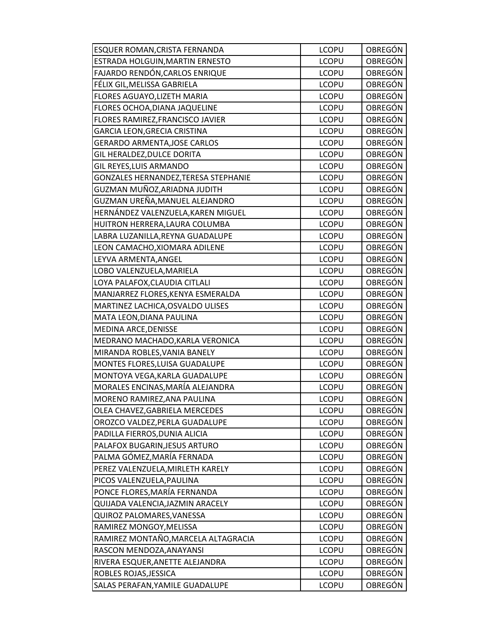| ESQUER ROMAN, CRISTA FERNANDA        | <b>LCOPU</b> | OBREGÓN        |
|--------------------------------------|--------------|----------------|
| ESTRADA HOLGUIN, MARTIN ERNESTO      | <b>LCOPU</b> | <b>OBREGÓN</b> |
| FAJARDO RENDÓN, CARLOS ENRIQUE       | <b>LCOPU</b> | OBREGÓN        |
| FÉLIX GIL,MELISSA GABRIELA           | <b>LCOPU</b> | OBREGÓN        |
| FLORES AGUAYO, LIZETH MARIA          | <b>LCOPU</b> | OBREGÓN        |
| FLORES OCHOA, DIANA JAQUELINE        | <b>LCOPU</b> | OBREGÓN        |
| FLORES RAMIREZ, FRANCISCO JAVIER     | <b>LCOPU</b> | OBREGÓN        |
| GARCIA LEON, GRECIA CRISTINA         | <b>LCOPU</b> | OBREGÓN        |
| <b>GERARDO ARMENTA, JOSE CARLOS</b>  | <b>LCOPU</b> | <b>OBREGÓN</b> |
| GIL HERALDEZ, DULCE DORITA           | <b>LCOPU</b> | OBREGÓN        |
| GIL REYES, LUIS ARMANDO              | <b>LCOPU</b> | OBREGÓN        |
| GONZALES HERNANDEZ, TERESA STEPHANIE | <b>LCOPU</b> | OBREGÓN        |
| GUZMAN MUÑOZ,ARIADNA JUDITH          | <b>LCOPU</b> | OBREGÓN        |
| GUZMAN UREÑA,MANUEL ALEJANDRO        | <b>LCOPU</b> | <b>OBREGÓN</b> |
| HERNÁNDEZ VALENZUELA, KAREN MIGUEL   | <b>LCOPU</b> | OBREGÓN        |
| HUITRON HERRERA, LAURA COLUMBA       | <b>LCOPU</b> | OBREGÓN        |
| LABRA LUZANILLA, REYNA GUADALUPE     | <b>LCOPU</b> | OBREGÓN        |
| LEON CAMACHO, XIOMARA ADILENE        | <b>LCOPU</b> | OBREGÓN        |
| LEYVA ARMENTA, ANGEL                 | <b>LCOPU</b> | OBREGÓN        |
| LOBO VALENZUELA, MARIELA             | <b>LCOPU</b> | OBREGÓN        |
| LOYA PALAFOX, CLAUDIA CITLALI        | <b>LCOPU</b> | <b>OBREGÓN</b> |
| MANJARREZ FLORES, KENYA ESMERALDA    | <b>LCOPU</b> | OBREGÓN        |
| MARTINEZ LACHICA, OSVALDO ULISES     | <b>LCOPU</b> | OBREGÓN        |
| MATA LEON, DIANA PAULINA             | <b>LCOPU</b> | OBREGÓN        |
| MEDINA ARCE, DENISSE                 | <b>LCOPU</b> | OBREGÓN        |
| MEDRANO MACHADO, KARLA VERONICA      | <b>LCOPU</b> | <b>OBREGÓN</b> |
| MIRANDA ROBLES, VANIA BANELY         | <b>LCOPU</b> | OBREGÓN        |
| MONTES FLORES, LUISA GUADALUPE       | <b>LCOPU</b> | <b>OBREGÓN</b> |
| MONTOYA VEGA, KARLA GUADALUPE        | <b>LCOPU</b> | OBREGÓN        |
| MORALES ENCINAS, MARÍA ALEJANDRA     | <b>LCOPU</b> | OBREGÓN        |
| MORENO RAMIREZ, ANA PAULINA          | <b>LCOPU</b> | OBREGÓN        |
| OLEA CHAVEZ, GABRIELA MERCEDES       | <b>LCOPU</b> | OBREGÓN        |
| OROZCO VALDEZ, PERLA GUADALUPE       | <b>LCOPU</b> | OBREGÓN        |
| PADILLA FIERROS, DUNIA ALICIA        | <b>LCOPU</b> | OBREGÓN        |
| PALAFOX BUGARIN, JESUS ARTURO        | <b>LCOPU</b> | OBREGÓN        |
| PALMA GÓMEZ,MARÍA FERNADA            | <b>LCOPU</b> | OBREGÓN        |
| PEREZ VALENZUELA, MIRLETH KARELY     | <b>LCOPU</b> | OBREGÓN        |
| PICOS VALENZUELA, PAULINA            | <b>LCOPU</b> | OBREGÓN        |
| PONCE FLORES, MARÍA FERNANDA         | <b>LCOPU</b> | OBREGÓN        |
| QUIJADA VALENCIA, JAZMIN ARACELY     | <b>LCOPU</b> | <b>OBREGÓN</b> |
| QUIROZ PALOMARES, VANESSA            | <b>LCOPU</b> | OBREGÓN        |
| RAMIREZ MONGOY, MELISSA              | <b>LCOPU</b> | OBREGÓN        |
| RAMIREZ MONTAÑO,MARCELA ALTAGRACIA   | <b>LCOPU</b> | OBREGÓN        |
| RASCON MENDOZA, ANAYANSI             | <b>LCOPU</b> | OBREGÓN        |
| RIVERA ESQUER, ANETTE ALEJANDRA      | <b>LCOPU</b> | OBREGÓN        |
| ROBLES ROJAS, JESSICA                | <b>LCOPU</b> | OBREGÓN        |
| SALAS PERAFAN, YAMILE GUADALUPE      | <b>LCOPU</b> | <b>OBREGÓN</b> |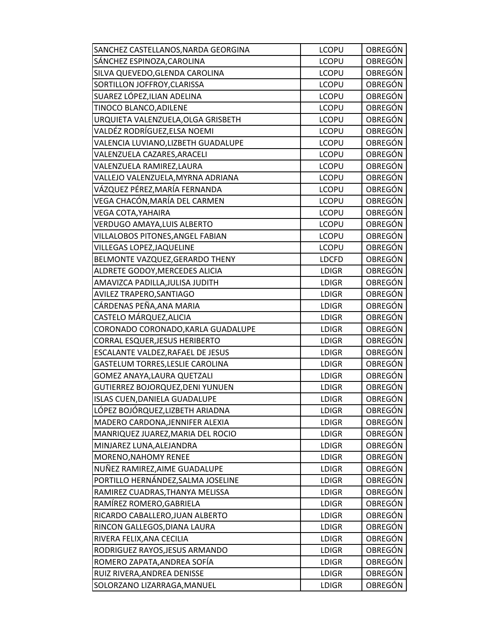| SANCHEZ CASTELLANOS, NARDA GEORGINA | <b>LCOPU</b> | OBREGÓN        |
|-------------------------------------|--------------|----------------|
| SÁNCHEZ ESPINOZA, CAROLINA          | <b>LCOPU</b> | <b>OBREGÓN</b> |
| SILVA QUEVEDO, GLENDA CAROLINA      | <b>LCOPU</b> | OBREGÓN        |
| SORTILLON JOFFROY, CLARISSA         | <b>LCOPU</b> | <b>OBREGÓN</b> |
| SUAREZ LÓPEZ, ILIAN ADELINA         | <b>LCOPU</b> | OBREGÓN        |
| TINOCO BLANCO, ADILENE              | <b>LCOPU</b> | OBREGÓN        |
| URQUIETA VALENZUELA, OLGA GRISBETH  | <b>LCOPU</b> | <b>OBREGÓN</b> |
| VALDÉZ RODRÍGUEZ, ELSA NOEMI        | <b>LCOPU</b> | OBREGÓN        |
| VALENCIA LUVIANO, LIZBETH GUADALUPE | <b>LCOPU</b> | <b>OBREGÓN</b> |
| VALENZUELA CAZARES, ARACELI         | <b>LCOPU</b> | OBREGÓN        |
| VALENZUELA RAMIREZ, LAURA           | <b>LCOPU</b> | OBREGÓN        |
| VALLEJO VALENZUELA, MYRNA ADRIANA   | <b>LCOPU</b> | OBREGÓN        |
| VÁZQUEZ PÉREZ, MARÍA FERNANDA       | <b>LCOPU</b> | <b>OBREGÓN</b> |
| VEGA CHACÓN, MARÍA DEL CARMEN       | <b>LCOPU</b> | <b>OBREGÓN</b> |
| VEGA COTA, YAHAIRA                  | <b>LCOPU</b> | OBREGÓN        |
| VERDUGO AMAYA, LUIS ALBERTO         | <b>LCOPU</b> | OBREGÓN        |
| VILLALOBOS PITONES, ANGEL FABIAN    | <b>LCOPU</b> | OBREGÓN        |
| VILLEGAS LOPEZ, JAQUELINE           | <b>LCOPU</b> | OBREGÓN        |
| BELMONTE VAZQUEZ, GERARDO THENY     | <b>LDCFD</b> | OBREGÓN        |
| ALDRETE GODOY, MERCEDES ALICIA      | <b>LDIGR</b> | <b>OBREGÓN</b> |
| AMAVIZCA PADILLA, JULISA JUDITH     | <b>LDIGR</b> | <b>OBREGÓN</b> |
| AVILEZ TRAPERO, SANTIAGO            | <b>LDIGR</b> | OBREGÓN        |
| CÁRDENAS PEÑA, ANA MARIA            | <b>LDIGR</b> | OBREGÓN        |
| CASTELO MÁRQUEZ, ALICIA             | <b>LDIGR</b> | OBREGÓN        |
| CORONADO CORONADO, KARLA GUADALUPE  | <b>LDIGR</b> | OBREGÓN        |
| CORRAL ESQUER, JESUS HERIBERTO      | <b>LDIGR</b> | <b>OBREGÓN</b> |
| ESCALANTE VALDEZ, RAFAEL DE JESUS   | <b>LDIGR</b> | OBREGÓN        |
| GASTELUM TORRES, LESLIE CAROLINA    | <b>LDIGR</b> | OBREGÓN        |
| GOMEZ ANAYA, LAURA QUETZALI         | <b>LDIGR</b> | OBREGÓN        |
| GUTIERREZ BOJORQUEZ, DENI YUNUEN    | <b>LDIGR</b> | OBREGÓN        |
| ISLAS CUEN, DANIELA GUADALUPE       | <b>LDIGR</b> | OBREGÓN        |
| LÓPEZ BOJÓRQUEZ, LIZBETH ARIADNA    | <b>LDIGR</b> | OBREGÓN        |
| MADERO CARDONA, JENNIFER ALEXIA     | LDIGR        | <b>OBREGÓN</b> |
| MANRIQUEZ JUAREZ, MARIA DEL ROCIO   | <b>LDIGR</b> | OBREGÓN        |
| MINJAREZ LUNA, ALEJANDRA            | <b>LDIGR</b> | OBREGÓN        |
| MORENO, NAHOMY RENEE                | <b>LDIGR</b> | OBREGÓN        |
| NUÑEZ RAMIREZ, AIME GUADALUPE       | <b>LDIGR</b> | OBREGÓN        |
| PORTILLO HERNÁNDEZ, SALMA JOSELINE  | <b>LDIGR</b> | OBREGÓN        |
| RAMIREZ CUADRAS, THANYA MELISSA     | <b>LDIGR</b> | OBREGÓN        |
| RAMÍREZ ROMERO, GABRIELA            | <b>LDIGR</b> | <b>OBREGÓN</b> |
| RICARDO CABALLERO, JUAN ALBERTO     | <b>LDIGR</b> | OBREGÓN        |
| RINCON GALLEGOS, DIANA LAURA        | <b>LDIGR</b> | <b>OBREGÓN</b> |
| RIVERA FELIX, ANA CECILIA           | <b>LDIGR</b> | OBREGÓN        |
| RODRIGUEZ RAYOS, JESUS ARMANDO      | <b>LDIGR</b> | OBREGÓN        |
| ROMERO ZAPATA, ANDREA SOFÍA         | <b>LDIGR</b> | OBREGÓN        |
| RUIZ RIVERA, ANDREA DENISSE         | <b>LDIGR</b> | OBREGÓN        |
| SOLORZANO LIZARRAGA, MANUEL         | <b>LDIGR</b> | OBREGÓN        |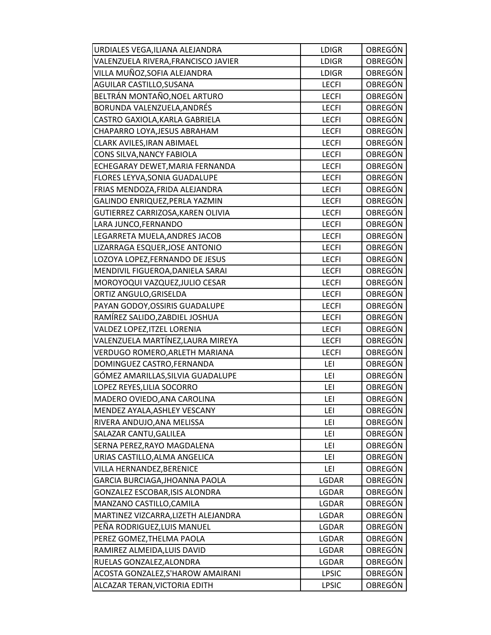| URDIALES VEGA, ILIANA ALEJANDRA     | <b>LDIGR</b> | OBREGÓN        |
|-------------------------------------|--------------|----------------|
| VALENZUELA RIVERA, FRANCISCO JAVIER | <b>LDIGR</b> | <b>OBREGÓN</b> |
| VILLA MUÑOZ,SOFIA ALEJANDRA         | <b>LDIGR</b> | OBREGÓN        |
| AGUILAR CASTILLO, SUSANA            | <b>LECFI</b> | OBREGÓN        |
| BELTRÁN MONTAÑO, NOEL ARTURO        | <b>LECFI</b> | <b>OBREGÓN</b> |
| BORUNDA VALENZUELA, ANDRÉS          | <b>LECFI</b> | OBREGÓN        |
| CASTRO GAXIOLA, KARLA GABRIELA      | <b>LECFI</b> | OBREGÓN        |
| CHAPARRO LOYA, JESUS ABRAHAM        | <b>LECFI</b> | OBREGÓN        |
| CLARK AVILES, IRAN ABIMAEL          | <b>LECFI</b> | <b>OBREGÓN</b> |
| CONS SILVA, NANCY FABIOLA           | <b>LECFI</b> | OBREGÓN        |
| ECHEGARAY DEWET, MARIA FERNANDA     | <b>LECFI</b> | OBREGÓN        |
| FLORES LEYVA, SONIA GUADALUPE       | <b>LECFI</b> | OBREGÓN        |
| FRIAS MENDOZA, FRIDA ALEJANDRA      | <b>LECFI</b> | OBREGÓN        |
| GALINDO ENRIQUEZ, PERLA YAZMIN      | <b>LECFI</b> | <b>OBREGÓN</b> |
| GUTIERREZ CARRIZOSA, KAREN OLIVIA   | <b>LECFI</b> | OBREGÓN        |
| LARA JUNCO, FERNANDO                | <b>LECFI</b> | OBREGÓN        |
| LEGARRETA MUELA, ANDRES JACOB       | <b>LECFI</b> | OBREGÓN        |
| LIZARRAGA ESQUER, JOSE ANTONIO      | <b>LECFI</b> | OBREGÓN        |
| LOZOYA LOPEZ, FERNANDO DE JESUS     | <b>LECFI</b> | OBREGÓN        |
| MENDIVIL FIGUEROA, DANIELA SARAI    | <b>LECFI</b> | <b>OBREGÓN</b> |
| MOROYOQUI VAZQUEZ, JULIO CESAR      | <b>LECFI</b> | <b>OBREGÓN</b> |
| ORTIZ ANGULO, GRISELDA              | <b>LECFI</b> | OBREGÓN        |
| PAYAN GODOY, OSSIRIS GUADALUPE      | <b>LECFI</b> | OBREGÓN        |
| RAMÍREZ SALIDO, ZABDIEL JOSHUA      | <b>LECFI</b> | OBREGÓN        |
| VALDEZ LOPEZ, ITZEL LORENIA         | <b>LECFI</b> | OBREGÓN        |
| VALENZUELA MARTÍNEZ, LAURA MIREYA   | <b>LECFI</b> | <b>OBREGÓN</b> |
| VERDUGO ROMERO, ARLETH MARIANA      | <b>LECFI</b> | <b>OBREGÓN</b> |
| DOMINGUEZ CASTRO, FERNANDA          | LEI          | OBREGÓN        |
| GÓMEZ AMARILLAS, SILVIA GUADALUPE   | LEI          | OBREGÓN        |
| LOPEZ REYES, LILIA SOCORRO          | LEI          | <b>OBREGÓN</b> |
| MADERO OVIEDO, ANA CAROLINA         | LEI          | OBREGÓN        |
| MENDEZ AYALA, ASHLEY VESCANY        | LEI          | OBREGÓN        |
| RIVERA ANDUJO, ANA MELISSA          | LEI          | <b>OBREGÓN</b> |
| SALAZAR CANTU, GALILEA              | LEI          | OBREGÓN        |
| SERNA PEREZ, RAYO MAGDALENA         | LEI          | <b>OBREGÓN</b> |
| URIAS CASTILLO, ALMA ANGELICA       | LEI          | OBREGÓN        |
| <b>VILLA HERNANDEZ, BERENICE</b>    | LEI          | OBREGÓN        |
| GARCIA BURCIAGA, JHOANNA PAOLA      | LGDAR        | OBREGÓN        |
| GONZALEZ ESCOBAR, ISIS ALONDRA      | LGDAR        | OBREGÓN        |
| MANZANO CASTILLO, CAMILA            | LGDAR        | <b>OBREGÓN</b> |
| MARTINEZ VIZCARRA, LIZETH ALEJANDRA | LGDAR        | OBREGÓN        |
| PEÑA RODRIGUEZ, LUIS MANUEL         | LGDAR        | <b>OBREGÓN</b> |
| PEREZ GOMEZ, THELMA PAOLA           | LGDAR        | OBREGÓN        |
| RAMIREZ ALMEIDA, LUIS DAVID         | LGDAR        | OBREGÓN        |
| RUELAS GONZALEZ, ALONDRA            | LGDAR        | OBREGÓN        |
| ACOSTA GONZALEZ, S'HAROW AMAIRANI   | <b>LPSIC</b> | OBREGÓN        |
| ALCAZAR TERAN, VICTORIA EDITH       | <b>LPSIC</b> | OBREGÓN        |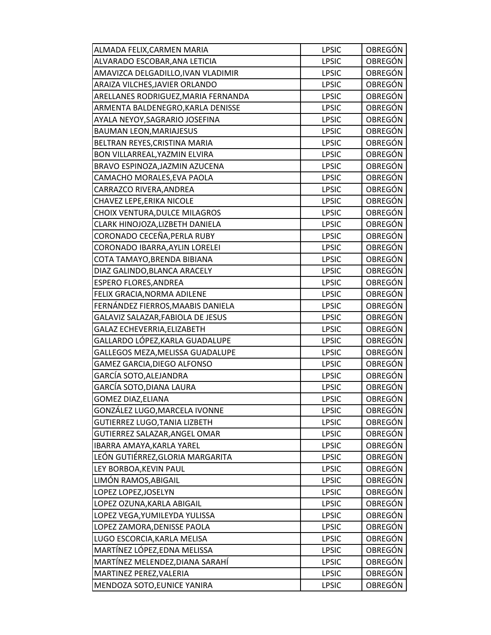| ALMADA FELIX, CARMEN MARIA          | <b>LPSIC</b> | <b>OBREGÓN</b> |
|-------------------------------------|--------------|----------------|
| ALVARADO ESCOBAR, ANA LETICIA       | <b>LPSIC</b> | <b>OBREGÓN</b> |
| AMAVIZCA DELGADILLO, IVAN VLADIMIR  | <b>LPSIC</b> | OBREGÓN        |
| ARAIZA VILCHES, JAVIER ORLANDO      | <b>LPSIC</b> | <b>OBREGÓN</b> |
| ARELLANES RODRIGUEZ, MARIA FERNANDA | <b>LPSIC</b> | OBREGÓN        |
| ARMENTA BALDENEGRO, KARLA DENISSE   | <b>LPSIC</b> | OBREGÓN        |
| AYALA NEYOY, SAGRARIO JOSEFINA      | <b>LPSIC</b> | OBREGÓN        |
| <b>BAUMAN LEON, MARIAJESUS</b>      | <b>LPSIC</b> | <b>OBREGÓN</b> |
| BELTRAN REYES, CRISTINA MARIA       | <b>LPSIC</b> | <b>OBREGÓN</b> |
| BON VILLARREAL, YAZMIN ELVIRA       | <b>LPSIC</b> | OBREGÓN        |
| BRAVO ESPINOZA, JAZMIN AZUCENA      | <b>LPSIC</b> | OBREGÓN        |
| CAMACHO MORALES, EVA PAOLA          | <b>LPSIC</b> | OBREGÓN        |
| CARRAZCO RIVERA, ANDREA             | <b>LPSIC</b> | OBREGÓN        |
| CHAVEZ LEPE, ERIKA NICOLE           | <b>LPSIC</b> | <b>OBREGÓN</b> |
| CHOIX VENTURA, DULCE MILAGROS       | <b>LPSIC</b> | <b>OBREGÓN</b> |
| CLARK HINOJOZA, LIZBETH DANIELA     | <b>LPSIC</b> | <b>OBREGÓN</b> |
| CORONADO CECEÑA, PERLA RUBY         | <b>LPSIC</b> | OBREGÓN        |
| CORONADO IBARRA, AYLIN LORELEI      | <b>LPSIC</b> | <b>OBREGÓN</b> |
| COTA TAMAYO, BRENDA BIBIANA         | <b>LPSIC</b> | OBREGÓN        |
| DIAZ GALINDO, BLANCA ARACELY        | <b>LPSIC</b> | <b>OBREGÓN</b> |
| ESPERO FLORES, ANDREA               | <b>LPSIC</b> | <b>OBREGÓN</b> |
| FELIX GRACIA, NORMA ADILENE         | <b>LPSIC</b> | OBREGÓN        |
| FERNÁNDEZ FIERROS, MAABIS DANIELA   | <b>LPSIC</b> | <b>OBREGÓN</b> |
| GALAVIZ SALAZAR, FABIOLA DE JESUS   | <b>LPSIC</b> | OBREGÓN        |
| GALAZ ECHEVERRIA, ELIZABETH         | <b>LPSIC</b> | OBREGÓN        |
| GALLARDO LÓPEZ, KARLA GUADALUPE     | <b>LPSIC</b> | <b>OBREGÓN</b> |
| GALLEGOS MEZA, MELISSA GUADALUPE    | <b>LPSIC</b> | <b>OBREGÓN</b> |
| GAMEZ GARCIA, DIEGO ALFONSO         | <b>LPSIC</b> | <b>OBREGÓN</b> |
| GARCÍA SOTO,ALEJANDRA               | <b>LPSIC</b> | OBREGÓN        |
| GARCÍA SOTO, DIANA LAURA            | <b>LPSIC</b> | OBREGÓN        |
| <b>GOMEZ DIAZ, ELIANA</b>           | <b>LPSIC</b> | <b>OBREGÓN</b> |
| GONZÁLEZ LUGO, MARCELA IVONNE       | <b>LPSIC</b> | OBREGÓN        |
| GUTIERREZ LUGO, TANIA LIZBETH       | <b>LPSIC</b> | <b>OBREGÓN</b> |
| GUTIERREZ SALAZAR, ANGEL OMAR       | <b>LPSIC</b> | OBREGÓN        |
| IBARRA AMAYA, KARLA YAREL           | <b>LPSIC</b> | OBREGÓN        |
| LEÓN GUTIÉRREZ, GLORIA MARGARITA    | <b>LPSIC</b> | OBREGÓN        |
| LEY BORBOA, KEVIN PAUL              | <b>LPSIC</b> | <b>OBREGÓN</b> |
| LIMÓN RAMOS, ABIGAIL                | <b>LPSIC</b> | OBREGÓN        |
| LOPEZ LOPEZ, JOSELYN                | <b>LPSIC</b> | OBREGÓN        |
| LOPEZ OZUNA, KARLA ABIGAIL          | <b>LPSIC</b> | <b>OBREGÓN</b> |
| LOPEZ VEGA, YUMILEYDA YULISSA       | <b>LPSIC</b> | OBREGÓN        |
| LOPEZ ZAMORA, DENISSE PAOLA         | <b>LPSIC</b> | OBREGÓN        |
| LUGO ESCORCIA, KARLA MELISA         | <b>LPSIC</b> | OBREGÓN        |
| MARTÍNEZ LÓPEZ, EDNA MELISSA        | <b>LPSIC</b> | OBREGÓN        |
| MARTÍNEZ MELENDEZ, DIANA SARAHÍ     | <b>LPSIC</b> | OBREGÓN        |
| MARTINEZ PEREZ, VALERIA             | <b>LPSIC</b> | OBREGÓN        |
| MENDOZA SOTO, EUNICE YANIRA         | <b>LPSIC</b> | OBREGÓN        |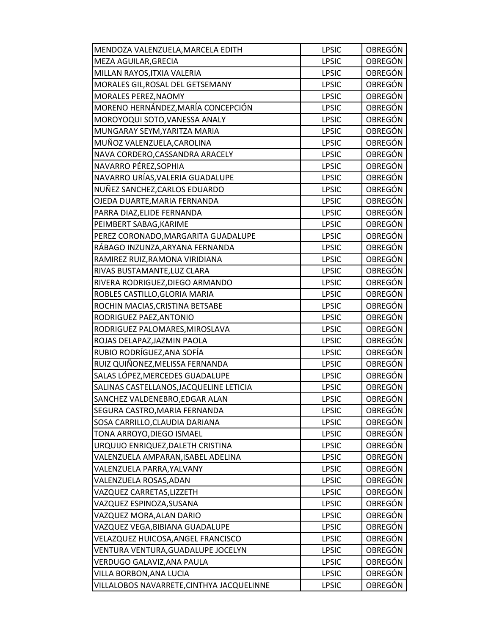| MENDOZA VALENZUELA, MARCELA EDITH         | <b>LPSIC</b> | OBREGÓN        |
|-------------------------------------------|--------------|----------------|
| MEZA AGUILAR, GRECIA                      | <b>LPSIC</b> | <b>OBREGÓN</b> |
| MILLAN RAYOS, ITXIA VALERIA               | <b>LPSIC</b> | OBREGÓN        |
| MORALES GIL, ROSAL DEL GETSEMANY          | <b>LPSIC</b> | <b>OBREGÓN</b> |
| MORALES PEREZ, NAOMY                      | <b>LPSIC</b> | OBREGÓN        |
| MORENO HERNÁNDEZ, MARÍA CONCEPCIÓN        | <b>LPSIC</b> | <b>OBREGÓN</b> |
| MOROYOQUI SOTO, VANESSA ANALY             | <b>LPSIC</b> | <b>OBREGÓN</b> |
| MUNGARAY SEYM, YARITZA MARIA              | <b>LPSIC</b> | OBREGÓN        |
| MUÑOZ VALENZUELA, CAROLINA                | <b>LPSIC</b> | <b>OBREGÓN</b> |
| NAVA CORDERO, CASSANDRA ARACELY           | <b>LPSIC</b> | OBREGÓN        |
| NAVARRO PÉREZ, SOPHIA                     | <b>LPSIC</b> | OBREGÓN        |
| NAVARRO URÍAS, VALERIA GUADALUPE          | <b>LPSIC</b> | <b>OBREGÓN</b> |
| NUÑEZ SANCHEZ, CARLOS EDUARDO             | <b>LPSIC</b> | <b>OBREGÓN</b> |
| OJEDA DUARTE, MARIA FERNANDA              | <b>LPSIC</b> | <b>OBREGÓN</b> |
| PARRA DIAZ, ELIDE FERNANDA                | <b>LPSIC</b> | <b>OBREGÓN</b> |
| PEIMBERT SABAG, KARIME                    | <b>LPSIC</b> | OBREGÓN        |
| PEREZ CORONADO, MARGARITA GUADALUPE       | <b>LPSIC</b> | OBREGÓN        |
| RÁBAGO INZUNZA, ARYANA FERNANDA           | <b>LPSIC</b> | <b>OBREGÓN</b> |
| RAMIREZ RUIZ, RAMONA VIRIDIANA            | <b>LPSIC</b> | <b>OBREGÓN</b> |
| RIVAS BUSTAMANTE, LUZ CLARA               | <b>LPSIC</b> | <b>OBREGÓN</b> |
| RIVERA RODRIGUEZ, DIEGO ARMANDO           | <b>LPSIC</b> | OBREGÓN        |
| ROBLES CASTILLO, GLORIA MARIA             | <b>LPSIC</b> | OBREGÓN        |
| ROCHIN MACIAS, CRISTINA BETSABE           | <b>LPSIC</b> | <b>OBREGÓN</b> |
| RODRIGUEZ PAEZ, ANTONIO                   | <b>LPSIC</b> | OBREGÓN        |
| RODRIGUEZ PALOMARES, MIROSLAVA            | <b>LPSIC</b> | <b>OBREGÓN</b> |
| ROJAS DELAPAZ, JAZMIN PAOLA               | <b>LPSIC</b> | <b>OBREGÓN</b> |
| RUBIO RODRÍGUEZ, ANA SOFÍA                | <b>LPSIC</b> | OBREGÓN        |
| RUIZ QUIÑONEZ, MELISSA FERNANDA           | <b>LPSIC</b> | <b>OBREGÓN</b> |
| SALAS LÓPEZ, MERCEDES GUADALUPE           | <b>LPSIC</b> | <b>OBREGÓN</b> |
| SALINAS CASTELLANOS, JACQUELINE LETICIA   | <b>LPSIC</b> | OBREGÓN        |
| SANCHEZ VALDENEBRO, EDGAR ALAN            | <b>LPSIC</b> | <b>OBREGÓN</b> |
| SEGURA CASTRO, MARIA FERNANDA             | <b>LPSIC</b> | <b>OBREGÓN</b> |
| SOSA CARRILLO, CLAUDIA DARIANA            | <b>LPSIC</b> | <b>OBREGÓN</b> |
| TONA ARROYO, DIEGO ISMAEL                 | <b>LPSIC</b> | <b>OBREGÓN</b> |
| URQUIJO ENRIQUEZ, DALETH CRISTINA         | <b>LPSIC</b> | OBREGÓN        |
| VALENZUELA AMPARAN, ISABEL ADELINA        | <b>LPSIC</b> | OBREGÓN        |
| VALENZUELA PARRA, YALVANY                 | <b>LPSIC</b> | OBREGÓN        |
| VALENZUELA ROSAS, ADAN                    | <b>LPSIC</b> | OBREGÓN        |
| VAZQUEZ CARRETAS, LIZZETH                 | <b>LPSIC</b> | <b>OBREGÓN</b> |
| VAZQUEZ ESPINOZA,SUSANA                   | <b>LPSIC</b> | OBREGÓN        |
| VAZQUEZ MORA, ALAN DARIO                  | <b>LPSIC</b> | OBREGÓN        |
| VAZQUEZ VEGA, BIBIANA GUADALUPE           | <b>LPSIC</b> | OBREGÓN        |
| VELAZQUEZ HUICOSA, ANGEL FRANCISCO        | <b>LPSIC</b> | OBREGÓN        |
| VENTURA VENTURA, GUADALUPE JOCELYN        | <b>LPSIC</b> | OBREGÓN        |
| VERDUGO GALAVIZ, ANA PAULA                | <b>LPSIC</b> | <b>OBREGÓN</b> |
| VILLA BORBON, ANA LUCIA                   | <b>LPSIC</b> | <b>OBREGÓN</b> |
| VILLALOBOS NAVARRETE, CINTHYA JACQUELINNE | <b>LPSIC</b> | <b>OBREGÓN</b> |